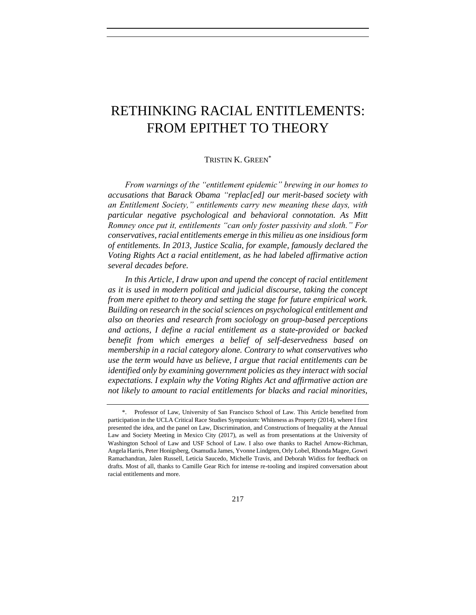# RETHINKING RACIAL ENTITLEMENTS: FROM EPITHET TO THEORY

## TRISTIN K GREEN<sup>\*</sup>

*From warnings of the "entitlement epidemic" brewing in our homes to accusations that Barack Obama "replac[ed] our merit-based society with an Entitlement Society," entitlements carry new meaning these days, with particular negative psychological and behavioral connotation. As Mitt Romney once put it, entitlements "can only foster passivity and sloth." For conservatives, racial entitlements emerge in this milieu as one insidious form of entitlements. In 2013, Justice Scalia, for example, famously declared the Voting Rights Act a racial entitlement, as he had labeled affirmative action several decades before.* 

In this Article, I draw upon and upend the concept of racial entitlement *as it is used in modern political and judicial discourse, taking the concept from mere epithet to theory and setting the stage for future empirical work. Building on research in the social sciences on psychological entitlement and also on theories and research from sociology on group-based perceptions and actions, I define a racial entitlement as a state-provided or backed benefit from which emerges a belief of self-deservedness based on membership in a racial category alone. Contrary to what conservatives who use the term would have us believe, I argue that racial entitlements can be identified only by examining government policies as they interact with social expectations. I explain why the Voting Rights Act and affirmative action are not likely to amount to racial entitlements for blacks and racial minorities,* 

<sup>\*.</sup> Professor of Law, University of San Francisco School of Law. This Article benefited from participation in the UCLA Critical Race Studies Symposium: Whiteness as Property (2014), where I first presented the idea, and the panel on Law, Discrimination, and Constructions of Inequality at the Annual Law and Society Meeting in Mexico City (2017), as well as from presentations at the University of Washington School of Law and USF School of Law. I also owe thanks to Rachel Arnow-Richman, Angela Harris, Peter Honigsberg, Osamudia James, Yvonne Lindgren, Orly Lobel, Rhonda Magee, Gowri Ramachandran, Jalen Russell, Leticia Saucedo, Michelle Travis, and Deborah Widiss for feedback on drafts. Most of all, thanks to Camille Gear Rich for intense re-tooling and inspired conversation about racial entitlements and more.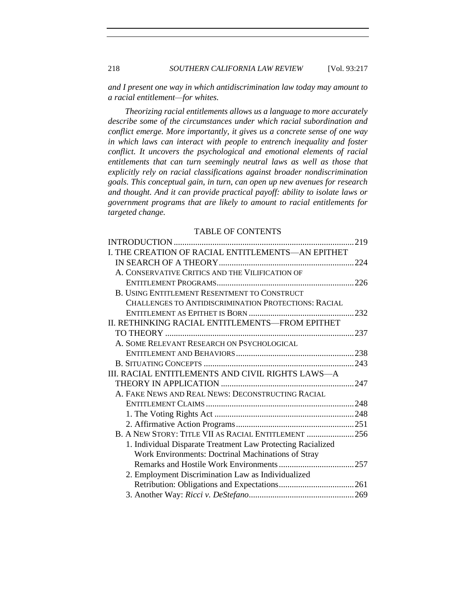*and I present one way in which antidiscrimination law today may amount to a racial entitlement—for whites.*

*Theorizing racial entitlements allows us a language to more accurately describe some of the circumstances under which racial subordination and conflict emerge. More importantly, it gives us a concrete sense of one way in which laws can interact with people to entrench inequality and foster conflict. It uncovers the psychological and emotional elements of racial entitlements that can turn seemingly neutral laws as well as those that explicitly rely on racial classifications against broader nondiscrimination goals. This conceptual gain, in turn, can open up new avenues for research and thought. And it can provide practical payoff: ability to isolate laws or government programs that are likely to amount to racial entitlements for targeted change.* 

## TABLE OF CONTENTS

| I. THE CREATION OF RACIAL ENTITLEMENTS-AN EPITHET           |  |
|-------------------------------------------------------------|--|
|                                                             |  |
| A. CONSERVATIVE CRITICS AND THE VILIFICATION OF             |  |
|                                                             |  |
| B. USING ENTITLEMENT RESENTMENT TO CONSTRUCT                |  |
| CHALLENGES TO ANTIDISCRIMINATION PROTECTIONS: RACIAL        |  |
|                                                             |  |
| II. RETHINKING RACIAL ENTITLEMENTS-FROM EPITHET             |  |
|                                                             |  |
| A. SOME RELEVANT RESEARCH ON PSYCHOLOGICAL                  |  |
|                                                             |  |
|                                                             |  |
| III. RACIAL ENTITLEMENTS AND CIVIL RIGHTS LAWS-A            |  |
|                                                             |  |
| A. FAKE NEWS AND REAL NEWS: DECONSTRUCTING RACIAL           |  |
|                                                             |  |
|                                                             |  |
|                                                             |  |
| B. A NEW STORY: TITLE VII AS RACIAL ENTITLEMENT  256        |  |
| 1. Individual Disparate Treatment Law Protecting Racialized |  |
| Work Environments: Doctrinal Machinations of Stray          |  |
|                                                             |  |
| 2. Employment Discrimination Law as Individualized          |  |
|                                                             |  |
|                                                             |  |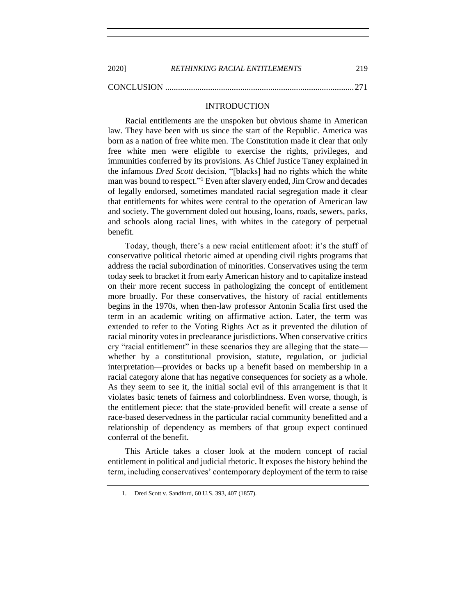| 2020] | <b>RETHINKING RACIAL ENTITLEMENTS</b> | 219 |
|-------|---------------------------------------|-----|
|       |                                       |     |

<span id="page-2-0"></span>

## INTRODUCTION

Racial entitlements are the unspoken but obvious shame in American law. They have been with us since the start of the Republic. America was born as a nation of free white men. The Constitution made it clear that only free white men were eligible to exercise the rights, privileges, and immunities conferred by its provisions. As Chief Justice Taney explained in the infamous *Dred Scott* decision, "[blacks] had no rights which the white man was bound to respect."<sup>1</sup> Even after slavery ended, Jim Crow and decades of legally endorsed, sometimes mandated racial segregation made it clear that entitlements for whites were central to the operation of American law and society. The government doled out housing, loans, roads, sewers, parks, and schools along racial lines, with whites in the category of perpetual benefit.

Today, though, there's a new racial entitlement afoot: it's the stuff of conservative political rhetoric aimed at upending civil rights programs that address the racial subordination of minorities. Conservatives using the term today seek to bracket it from early American history and to capitalize instead on their more recent success in pathologizing the concept of entitlement more broadly. For these conservatives, the history of racial entitlements begins in the 1970s, when then-law professor Antonin Scalia first used the term in an academic writing on affirmative action. Later, the term was extended to refer to the Voting Rights Act as it prevented the dilution of racial minority votes in preclearance jurisdictions. When conservative critics cry "racial entitlement" in these scenarios they are alleging that the state whether by a constitutional provision, statute, regulation, or judicial interpretation—provides or backs up a benefit based on membership in a racial category alone that has negative consequences for society as a whole. As they seem to see it, the initial social evil of this arrangement is that it violates basic tenets of fairness and colorblindness. Even worse, though, is the entitlement piece: that the state-provided benefit will create a sense of race-based deservedness in the particular racial community benefitted and a relationship of dependency as members of that group expect continued conferral of the benefit.

This Article takes a closer look at the modern concept of racial entitlement in political and judicial rhetoric. It exposes the history behind the term, including conservatives' contemporary deployment of the term to raise

<sup>1.</sup> Dred Scott v. Sandford, 60 U.S. 393, 407 (1857).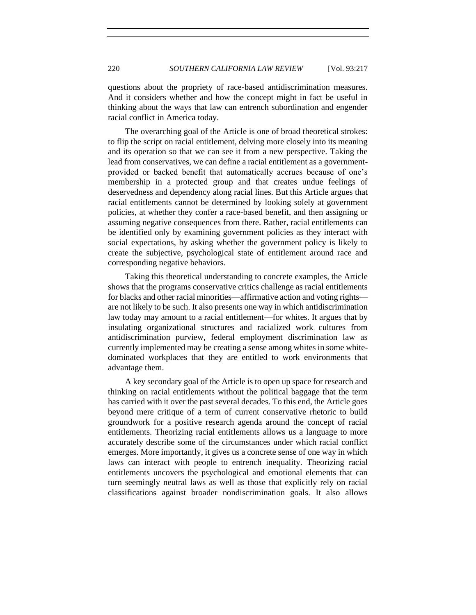questions about the propriety of race-based antidiscrimination measures. And it considers whether and how the concept might in fact be useful in thinking about the ways that law can entrench subordination and engender racial conflict in America today.

The overarching goal of the Article is one of broad theoretical strokes: to flip the script on racial entitlement, delving more closely into its meaning and its operation so that we can see it from a new perspective. Taking the lead from conservatives, we can define a racial entitlement as a governmentprovided or backed benefit that automatically accrues because of one's membership in a protected group and that creates undue feelings of deservedness and dependency along racial lines. But this Article argues that racial entitlements cannot be determined by looking solely at government policies, at whether they confer a race-based benefit, and then assigning or assuming negative consequences from there. Rather, racial entitlements can be identified only by examining government policies as they interact with social expectations, by asking whether the government policy is likely to create the subjective, psychological state of entitlement around race and corresponding negative behaviors.

Taking this theoretical understanding to concrete examples, the Article shows that the programs conservative critics challenge as racial entitlements for blacks and other racial minorities—affirmative action and voting rights are not likely to be such. It also presents one way in which antidiscrimination law today may amount to a racial entitlement—for whites. It argues that by insulating organizational structures and racialized work cultures from antidiscrimination purview, federal employment discrimination law as currently implemented may be creating a sense among whites in some whitedominated workplaces that they are entitled to work environments that advantage them.

A key secondary goal of the Article is to open up space for research and thinking on racial entitlements without the political baggage that the term has carried with it over the past several decades. To this end, the Article goes beyond mere critique of a term of current conservative rhetoric to build groundwork for a positive research agenda around the concept of racial entitlements. Theorizing racial entitlements allows us a language to more accurately describe some of the circumstances under which racial conflict emerges. More importantly, it gives us a concrete sense of one way in which laws can interact with people to entrench inequality. Theorizing racial entitlements uncovers the psychological and emotional elements that can turn seemingly neutral laws as well as those that explicitly rely on racial classifications against broader nondiscrimination goals. It also allows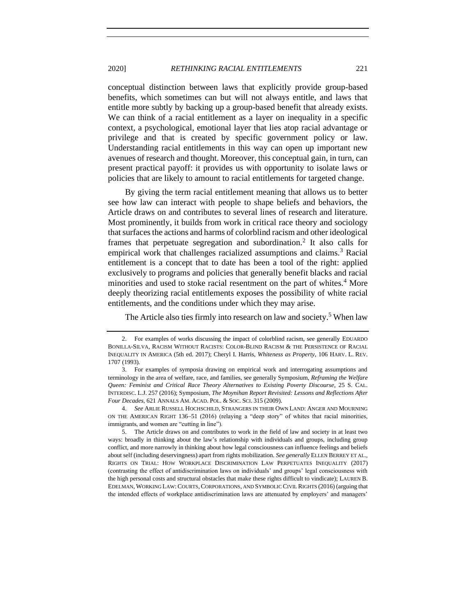## 2020] *RETHINKING RACIAL ENTITLEMENTS* 221

conceptual distinction between laws that explicitly provide group-based benefits, which sometimes can but will not always entitle, and laws that entitle more subtly by backing up a group-based benefit that already exists. We can think of a racial entitlement as a layer on inequality in a specific context, a psychological, emotional layer that lies atop racial advantage or privilege and that is created by specific government policy or law. Understanding racial entitlements in this way can open up important new avenues of research and thought. Moreover, this conceptual gain, in turn, can present practical payoff: it provides us with opportunity to isolate laws or policies that are likely to amount to racial entitlements for targeted change.

By giving the term racial entitlement meaning that allows us to better see how law can interact with people to shape beliefs and behaviors, the Article draws on and contributes to several lines of research and literature. Most prominently, it builds from work in critical race theory and sociology that surfaces the actions and harms of colorblind racism and other ideological frames that perpetuate segregation and subordination.<sup>2</sup> It also calls for empirical work that challenges racialized assumptions and claims.<sup>3</sup> Racial entitlement is a concept that to date has been a tool of the right: applied exclusively to programs and policies that generally benefit blacks and racial minorities and used to stoke racial resentment on the part of whites.<sup>4</sup> More deeply theorizing racial entitlements exposes the possibility of white racial entitlements, and the conditions under which they may arise.

<span id="page-4-2"></span>The Article also ties firmly into research on law and society.<sup>5</sup> When law

<span id="page-4-1"></span><span id="page-4-0"></span>

<sup>2.</sup> For examples of works discussing the impact of colorblind racism, see generally EDUARDO BONILLA-SILVA, RACISM WITHOUT RACISTS: COLOR-BLIND RACISM & THE PERSISTENCE OF RACIAL INEQUALITY IN AMERICA (5th ed. 2017); Cheryl I. Harris, *Whiteness as Property*, 106 HARV. L. REV. 1707 (1993).

<sup>3.</sup> For examples of symposia drawing on empirical work and interrogating assumptions and terminology in the area of welfare, race, and families, see generally Symposium, *Reframing the Welfare Queen: Feminist and Critical Race Theory Alternatives to Existing Poverty Discourse*, 25 S. CAL. INTERDISC. L.J. 257 (2016); Symposium, *The Moynihan Report Revisited: Lessons and Reflections After Four Decades*, 621 ANNALS AM. ACAD. POL. & SOC. SCI. 315 (2009).

<sup>4.</sup> *See* ARLIE RUSSELL HOCHSCHILD, STRANGERS IN THEIR OWN LAND: ANGER AND MOURNING ON THE AMERICAN RIGHT 136−51 (2016) (relaying a "deep story" of whites that racial minorities, immigrants, and women are "cutting in line").

<sup>5.</sup> The Article draws on and contributes to work in the field of law and society in at least two ways: broadly in thinking about the law's relationship with individuals and groups, including group conflict, and more narrowly in thinking about how legal consciousness can influence feelings and beliefs about self (including deservingness) apart from rights mobilization. *See generally* ELLEN BERREY ET AL., RIGHTS ON TRIAL: HOW WORKPLACE DISCRIMINATION LAW PERPETUATES INEQUALITY (2017) (contrasting the effect of antidiscrimination laws on individuals' and groups' legal consciousness with the high personal costs and structural obstacles that make these rights difficult to vindicate); LAUREN B. EDELMAN, WORKING LAW: COURTS, CORPORATIONS, AND SYMBOLIC CIVIL RIGHTS (2016) (arguing that the intended effects of workplace antidiscrimination laws are attenuated by employers' and managers'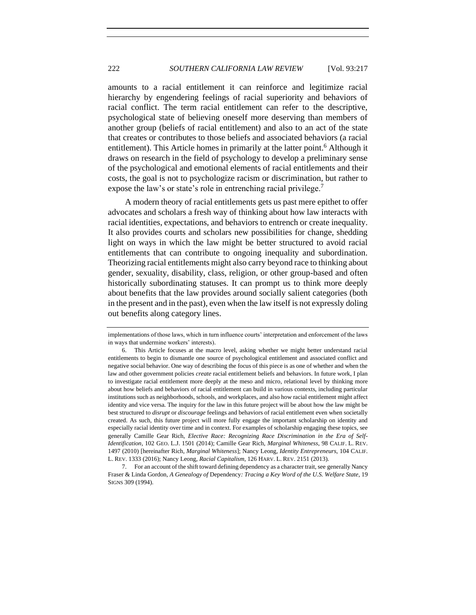amounts to a racial entitlement it can reinforce and legitimize racial hierarchy by engendering feelings of racial superiority and behaviors of racial conflict. The term racial entitlement can refer to the descriptive, psychological state of believing oneself more deserving than members of another group (beliefs of racial entitlement) and also to an act of the state that creates or contributes to those beliefs and associated behaviors (a racial entitlement). This Article homes in primarily at the latter point.<sup>6</sup> Although it draws on research in the field of psychology to develop a preliminary sense of the psychological and emotional elements of racial entitlements and their costs, the goal is not to psychologize racism or discrimination, but rather to expose the law's or state's role in entrenching racial privilege.<sup>7</sup>

<span id="page-5-0"></span>A modern theory of racial entitlements gets us past mere epithet to offer advocates and scholars a fresh way of thinking about how law interacts with racial identities, expectations, and behaviors to entrench or create inequality. It also provides courts and scholars new possibilities for change, shedding light on ways in which the law might be better structured to avoid racial entitlements that can contribute to ongoing inequality and subordination. Theorizing racial entitlements might also carry beyond race to thinking about gender, sexuality, disability, class, religion, or other group-based and often historically subordinating statuses. It can prompt us to think more deeply about benefits that the law provides around socially salient categories (both in the present and in the past), even when the law itself is not expressly doling out benefits along category lines.

implementations of those laws, which in turn influence courts' interpretation and enforcement of the laws in ways that undermine workers' interests).

<sup>6.</sup> This Article focuses at the macro level, asking whether we might better understand racial entitlements to begin to dismantle one source of psychological entitlement and associated conflict and negative social behavior. One way of describing the focus of this piece is as one of whether and when the law and other government policies *create* racial entitlement beliefs and behaviors. In future work, I plan to investigate racial entitlement more deeply at the meso and micro, relational level by thinking more about how beliefs and behaviors of racial entitlement can build in various contexts, including particular institutions such as neighborhoods, schools, and workplaces, and also how racial entitlement might affect identity and vice versa. The inquiry for the law in this future project will be about how the law might be best structured to *disrupt* or *discourage* feelings and behaviors of racial entitlement even when societally created. As such, this future project will more fully engage the important scholarship on identity and especially racial identity over time and in context. For examples of scholarship engaging these topics, see generally Camille Gear Rich, *Elective Race: Recognizing Race Discrimination in the Era of Self-Identification*, 102 GEO. L.J. 1501 (2014); Camille Gear Rich, *Marginal Whiteness*, 98 CALIF. L. REV. 1497 (2010) [hereinafter Rich, *Marginal Whiteness*]; Nancy Leong, *Identity Entrepreneurs*, 104 CALIF. L. REV. 1333 (2016); Nancy Leong, *Racial Capitalism*, 126 HARV. L. REV. 2151 (2013).

<sup>7.</sup> For an account of the shift toward defining dependency as a character trait, see generally Nancy Fraser & Linda Gordon, *A Genealogy of* Dependency*: Tracing a Key Word of the U.S. Welfare State*, 19 SIGNS 309 (1994).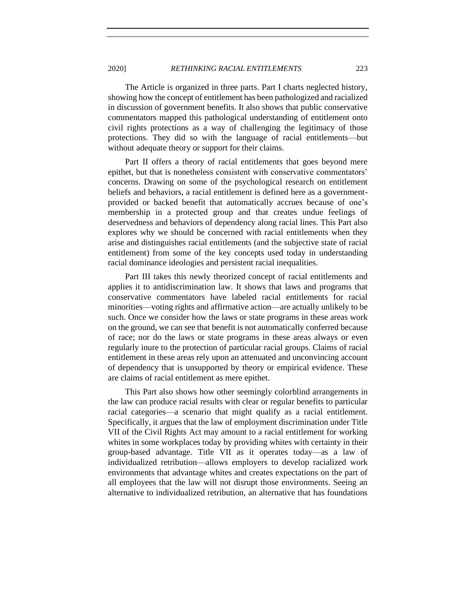The Article is organized in three parts. Part I charts neglected history, showing how the concept of entitlement has been pathologized and racialized in discussion of government benefits. It also shows that public conservative commentators mapped this pathological understanding of entitlement onto civil rights protections as a way of challenging the legitimacy of those protections. They did so with the language of racial entitlements—but without adequate theory or support for their claims.

Part II offers a theory of racial entitlements that goes beyond mere epithet, but that is nonetheless consistent with conservative commentators' concerns. Drawing on some of the psychological research on entitlement beliefs and behaviors, a racial entitlement is defined here as a governmentprovided or backed benefit that automatically accrues because of one's membership in a protected group and that creates undue feelings of deservedness and behaviors of dependency along racial lines. This Part also explores why we should be concerned with racial entitlements when they arise and distinguishes racial entitlements (and the subjective state of racial entitlement) from some of the key concepts used today in understanding racial dominance ideologies and persistent racial inequalities.

Part III takes this newly theorized concept of racial entitlements and applies it to antidiscrimination law. It shows that laws and programs that conservative commentators have labeled racial entitlements for racial minorities—voting rights and affirmative action—are actually unlikely to be such. Once we consider how the laws or state programs in these areas work on the ground, we can see that benefit is not automatically conferred because of race; nor do the laws or state programs in these areas always or even regularly inure to the protection of particular racial groups. Claims of racial entitlement in these areas rely upon an attenuated and unconvincing account of dependency that is unsupported by theory or empirical evidence. These are claims of racial entitlement as mere epithet.

This Part also shows how other seemingly colorblind arrangements in the law can produce racial results with clear or regular benefits to particular racial categories—a scenario that might qualify as a racial entitlement. Specifically, it argues that the law of employment discrimination under Title VII of the Civil Rights Act may amount to a racial entitlement for working whites in some workplaces today by providing whites with certainty in their group-based advantage. Title VII as it operates today—as a law of individualized retribution—allows employers to develop racialized work environments that advantage whites and creates expectations on the part of all employees that the law will not disrupt those environments. Seeing an alternative to individualized retribution, an alternative that has foundations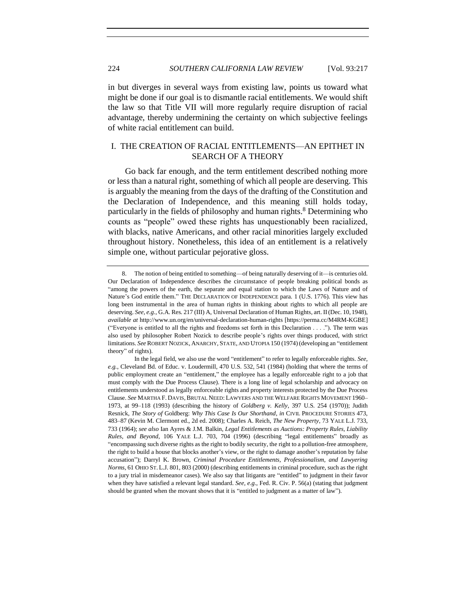in but diverges in several ways from existing law, points us toward what might be done if our goal is to dismantle racial entitlements. We would shift the law so that Title VII will more regularly require disruption of racial advantage, thereby undermining the certainty on which subjective feelings of white racial entitlement can build.

# <span id="page-7-0"></span>I. THE CREATION OF RACIAL ENTITLEMENTS—AN EPITHET IN SEARCH OF A THEORY

<span id="page-7-1"></span>Go back far enough, and the term entitlement described nothing more or less than a natural right, something of which all people are deserving. This is arguably the meaning from the days of the drafting of the Constitution and the Declaration of Independence, and this meaning still holds today, particularly in the fields of philosophy and human rights.<sup>8</sup> Determining who counts as "people" owed these rights has unquestionably been racialized, with blacks, native Americans, and other racial minorities largely excluded throughout history. Nonetheless, this idea of an entitlement is a relatively simple one, without particular pejorative gloss.

<sup>8.</sup> The notion of being entitled to something—of being naturally deserving of it—is centuries old. Our Declaration of Independence describes the circumstance of people breaking political bonds as "among the powers of the earth, the separate and equal station to which the Laws of Nature and of Nature's God entitle them." THE DECLARATION OF INDEPENDENCE para. 1 (U.S. 1776). This view has long been instrumental in the area of human rights in thinking about rights to which all people are deserving. *See, e.g.*, G.A. Res. 217 (III) A, Universal Declaration of Human Rights, art. II(Dec. 10, 1948), *available at* http://www.un.org/en/universal-declaration-human-rights [https://perma.cc/M4RM-KGBE] ("Everyone is entitled to all the rights and freedoms set forth in this Declaration . . . ."). The term was also used by philosopher Robert Nozick to describe people's rights over things produced, with strict limitations. *See* ROBERT NOZICK, ANARCHY, STATE, AND UTOPIA 150 (1974) (developing an "entitlement theory" of rights).

In the legal field, we also use the word "entitlement" to refer to legally enforceable rights. *See, e.g.*, Cleveland Bd. of Educ. v. Loudermill, 470 U.S. 532, 541 (1984) (holding that where the terms of public employment create an "entitlement," the employee has a legally enforceable right to a job that must comply with the Due Process Clause). There is a long line of legal scholarship and advocacy on entitlements understood as legally enforceable rights and property interests protected by the Due Process Clause. *See* MARTHA F. DAVIS, BRUTAL NEED: LAWYERS AND THE WELFARE RIGHTS MOVEMENT 1960– 1973, at 99–118 (1993) (describing the history of *Goldberg v. Kelly*, 397 U.S. 254 (1970)); Judith Resnick, *The Story of* Goldberg: *Why This Case Is Our Shorthand*, *in* CIVIL PROCEDURE STORIES 473, 483–87 (Kevin M. Clermont ed., 2d ed. 2008); Charles A. Reich, *The New Property*, 73 YALE L.J. 733, 733 (1964); *see also* Ian Ayres & J.M. Balkin, *Legal Entitlements as Auctions: Property Rules, Liability Rules, and Beyond*, 106 YALE L.J. 703, 704 (1996) (describing "legal entitlements" broadly as "encompassing such diverse rights as the right to bodily security, the right to a pollution-free atmosphere, the right to build a house that blocks another's view, or the right to damage another's reputation by false accusation"); Darryl K. Brown, *Criminal Procedure Entitlements, Professionalism, and Lawyering Norms*, 61 OHIO ST. L.J. 801, 803 (2000) (describing entitlements in criminal procedure, such as the right to a jury trial in misdemeanor cases). We also say that litigants are "entitled" to judgment in their favor when they have satisfied a relevant legal standard. *See, e.g.*, Fed. R. Civ. P. 56(a) (stating that judgment should be granted when the movant shows that it is "entitled to judgment as a matter of law").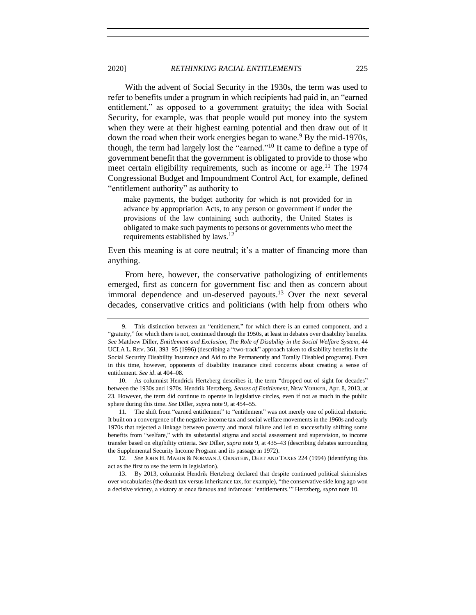With the advent of Social Security in the 1930s, the term was used to refer to benefits under a program in which recipients had paid in, an "earned entitlement," as opposed to a government gratuity; the idea with Social Security, for example, was that people would put money into the system when they were at their highest earning potential and then draw out of it down the road when their work energies began to wane.<sup>9</sup> By the mid-1970s, though, the term had largely lost the "earned."<sup>10</sup> It came to define a type of government benefit that the government is obligated to provide to those who meet certain eligibility requirements, such as income or age.<sup>11</sup> The 1974 Congressional Budget and Impoundment Control Act, for example, defined "entitlement authority" as authority to

<span id="page-8-2"></span><span id="page-8-1"></span><span id="page-8-0"></span>make payments, the budget authority for which is not provided for in advance by appropriation Acts, to any person or government if under the provisions of the law containing such authority, the United States is obligated to make such payments to persons or governments who meet the requirements established by  $laws.<sup>12</sup>$ 

Even this meaning is at core neutral; it's a matter of financing more than anything.

From here, however, the conservative pathologizing of entitlements emerged, first as concern for government fisc and then as concern about immoral dependence and un-deserved payouts.<sup>13</sup> Over the next several decades, conservative critics and politicians (with help from others who

11*.* The shift from "earned entitlement" to "entitlement" was not merely one of political rhetoric. It built on a convergence of the negative income tax and social welfare movements in the 1960s and early 1970s that rejected a linkage between poverty and moral failure and led to successfully shifting some benefits from "welfare," with its substantial stigma and social assessment and supervision, to income transfer based on eligibility criteria. *See* Diller, *supra* note [9,](#page-8-0) at 435–43 (describing debates surrounding the Supplemental Security Income Program and its passage in 1972).

12. *See* JOHN H. MAKIN & NORMAN J. ORNSTEIN, DEBT AND TAXES 224 (1994) (identifying this act as the first to use the term in legislation).

13. By 2013, columnist Hendrik Hertzberg declared that despite continued political skirmishes over vocabularies (the death tax versus inheritance tax, for example), "the conservative side long ago won a decisive victory, a victory at once famous and infamous: 'entitlements.'" Hertzberg, *supra* not[e 10.](#page-8-1)

<sup>9.</sup> This distinction between an "entitlement," for which there is an earned component, and a "gratuity," for which there is not, continued through the 1950s, at least in debates over disability benefits. *See* Matthew Diller, *Entitlement and Exclusion, The Role of Disability in the Social Welfare System*, 44 UCLA L. REV. 361, 393–95 (1996) (describing a "two-track" approach taken to disability benefits in the Social Security Disability Insurance and Aid to the Permanently and Totally Disabled programs). Even in this time, however, opponents of disability insurance cited concerns about creating a sense of entitlement. *See id*. at 404–08.

<sup>10.</sup> As columnist Hendrick Hertzberg describes it, the term "dropped out of sight for decades" between the 1930s and 1970s. Hendrik Hertzberg, *Senses of Entitlement*, NEW YORKER, Apr. 8, 2013, at 23. However, the term did continue to operate in legislative circles, even if not as much in the public sphere during this time. *See* Diller, *supra* note [9,](#page-8-0) at 454–55.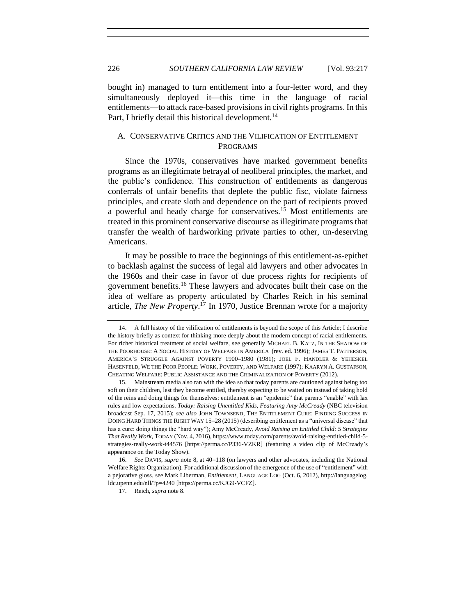bought in) managed to turn entitlement into a four-letter word, and they simultaneously deployed it—this time in the language of racial entitlements—to attack race-based provisions in civil rights programs. In this Part, I briefly detail this historical development.<sup>14</sup>

## <span id="page-9-1"></span><span id="page-9-0"></span>A. CONSERVATIVE CRITICS AND THE VILIFICATION OF ENTITLEMENT PROGRAMS

Since the 1970s, conservatives have marked government benefits programs as an illegitimate betrayal of neoliberal principles, the market, and the public's confidence. This construction of entitlements as dangerous conferrals of unfair benefits that deplete the public fisc, violate fairness principles, and create sloth and dependence on the part of recipients proved a powerful and heady charge for conservatives.<sup>15</sup> Most entitlements are treated in this prominent conservative discourse as illegitimate programs that transfer the wealth of hardworking private parties to other, un-deserving Americans.

It may be possible to trace the beginnings of this entitlement-as-epithet to backlash against the success of legal aid lawyers and other advocates in the 1960s and their case in favor of due process rights for recipients of government benefits.<sup>16</sup> These lawyers and advocates built their case on the idea of welfare as property articulated by Charles Reich in his seminal article, *The New Property*. <sup>17</sup> In 1970, Justice Brennan wrote for a majority

17. Reich, *supra* not[e 8.](#page-7-1)

<sup>14.</sup> A full history of the vilification of entitlements is beyond the scope of this Article; I describe the history briefly as context for thinking more deeply about the modern concept of racial entitlements. For richer historical treatment of social welfare, see generally MICHAEL B. KATZ, IN THE SHADOW OF THE POORHOUSE: A SOCIAL HISTORY OF WELFARE IN AMERICA (rev. ed. 1996); JAMES T. PATTERSON, AMERICA'S STRUGGLE AGAINST POVERTY 1900–1980 (1981); JOEL F. HANDLER & YEHESKEL HASENFELD, WE THE POOR PEOPLE: WORK, POVERTY, AND WELFARE (1997); KAARYN A. GUSTAFSON, CHEATING WELFARE: PUBLIC ASSISTANCE AND THE CRIMINALIZATION OF POVERTY (2012).

<sup>15.</sup> Mainstream media also ran with the idea so that today parents are cautioned against being too soft on their children, lest they become entitled, thereby expecting to be waited on instead of taking hold of the reins and doing things for themselves: entitlement is an "epidemic" that parents "enable" with lax rules and low expectations. *Today: Raising Unentitled Kids, Featuring Amy McCready* (NBC television broadcast Sep. 17, 2015); *see also* JOHN TOWNSEND, THE ENTITLEMENT CURE: FINDING SUCCESS IN DOING HARD THINGS THE RIGHT WAY 15−28 (2015) (describing entitlement as a "universal disease" that has a cure: doing things the "hard way"); Amy McCready, *Avoid Raising an Entitled Child: 5 Strategies That Really Work*, TODAY (Nov. 4, 2016), https://www.today.com/parents/avoid-raising-entitled-child-5 strategies-really-work-t44576 [https://perma.cc/P336-VZKR] (featuring a video clip of McCready's appearance on the Today Show).

<sup>16.</sup> *See* DAVIS, *supra* not[e 8,](#page-7-1) at 40−118 (on lawyers and other advocates, including the National Welfare Rights Organization). For additional discussion of the emergence of the use of "entitlement" with a pejorative gloss, see Mark Liberman, *Entitlement*, LANGUAGE LOG (Oct. 6, 2012), http://languagelog. ldc.upenn.edu/nll/?p=4240 [https://perma.cc/KJG9-VCFZ].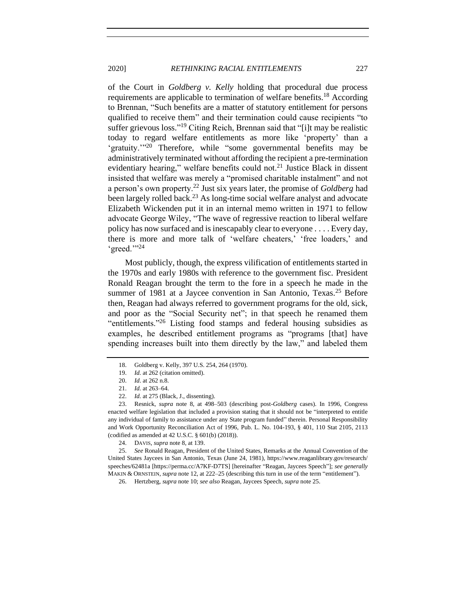of the Court in *Goldberg v. Kelly* holding that procedural due process requirements are applicable to termination of welfare benefits.<sup>18</sup> According to Brennan, "Such benefits are a matter of statutory entitlement for persons qualified to receive them" and their termination could cause recipients "to suffer grievous loss."<sup>19</sup> Citing Reich, Brennan said that "[i]t may be realistic today to regard welfare entitlements as more like 'property' than a 'gratuity."<sup>20</sup> Therefore, while "some governmental benefits may be administratively terminated without affording the recipient a pre-termination evidentiary hearing," welfare benefits could not.<sup>21</sup> Justice Black in dissent insisted that welfare was merely a "promised charitable instalment" and not a person's own property.<sup>22</sup> Just six years later, the promise of *Goldberg* had been largely rolled back.<sup>23</sup> As long-time social welfare analyst and advocate Elizabeth Wickenden put it in an internal memo written in 1971 to fellow advocate George Wiley, "The wave of regressive reaction to liberal welfare policy has now surfaced and is inescapably clear to everyone . . . . Every day, there is more and more talk of 'welfare cheaters,' 'free loaders,' and 'greed.""<sup>24</sup>

Most publicly, though, the express vilification of entitlements started in the 1970s and early 1980s with reference to the government fisc. President Ronald Reagan brought the term to the fore in a speech he made in the summer of 1981 at a Jaycee convention in San Antonio, Texas.<sup>25</sup> Before then, Reagan had always referred to government programs for the old, sick, and poor as the "Social Security net"; in that speech he renamed them "entitlements."<sup>26</sup> Listing food stamps and federal housing subsidies as examples, he described entitlement programs as "programs [that] have spending increases built into them directly by the law," and labeled them

<span id="page-10-0"></span>

<sup>18.</sup> Goldberg v. Kelly, 397 U.S. 254, 264 (1970).

<sup>19.</sup> *Id.* at 262 (citation omitted).

<sup>20.</sup> *Id*. at 262 n.8.

<sup>21.</sup> *Id.* at 263–64.

<sup>22.</sup> *Id.* at 275 (Black, J., dissenting).

<sup>23.</sup> Resnick, *supra* note [8,](#page-7-1) at 498–503 (describing post-*Goldberg* cases). In 1996, Congress enacted welfare legislation that included a provision stating that it should not be "interpreted to entitle any individual of family to assistance under any State program funded" therein. Personal Responsibility and Work Opportunity Reconciliation Act of 1996, Pub. L. No. 104-193, § 401, 110 Stat 2105, 2113 (codified as amended at 42 U.S.C. § 601(b) (2018)).

<sup>24.</sup> DAVIS, *supra* note [8,](#page-7-1) at 139.

<sup>25.</sup> *See* Ronald Reagan, President of the United States, Remarks at the Annual Convention of the United States Jaycees in San Antonio, Texas (June 24, 1981), https://www.reaganlibrary.gov/research/ speeches/62481a [https://perma.cc/A7KF-D7TS] [hereinafter "Reagan, Jaycees Speech"]; *see generally* MAKIN & ORNSTEIN, *supra* not[e 12,](#page-8-2) at 222–25 (describing this turn in use of the term "entitlement").

<sup>26.</sup> Hertzberg, *supra* not[e 10;](#page-8-1) *see also* Reagan, Jaycees Speech, *supra* not[e 25.](#page-10-0)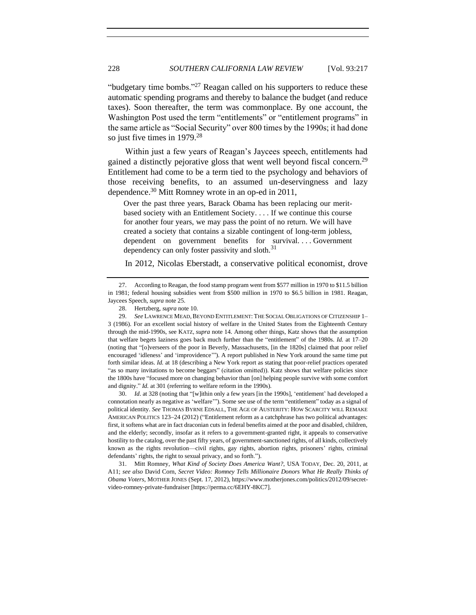"budgetary time bombs."<sup>27</sup> Reagan called on his supporters to reduce these automatic spending programs and thereby to balance the budget (and reduce taxes). Soon thereafter, the term was commonplace. By one account, the Washington Post used the term "entitlements" or "entitlement programs" in the same article as "Social Security" over 800 times by the 1990s; it had done so just five times in 1979.<sup>28</sup>

Within just a few years of Reagan's Jaycees speech, entitlements had gained a distinctly pejorative gloss that went well beyond fiscal concern.<sup>29</sup> Entitlement had come to be a term tied to the psychology and behaviors of those receiving benefits, to an assumed un-deservingness and lazy dependence.<sup>30</sup> Mitt Romney wrote in an op-ed in 2011,

Over the past three years, Barack Obama has been replacing our meritbased society with an Entitlement Society. . . . If we continue this course for another four years, we may pass the point of no return. We will have created a society that contains a sizable contingent of long-term jobless, dependent on government benefits for survival.... Government dependency can only foster passivity and sloth.<sup>31</sup>

<span id="page-11-0"></span>In 2012, Nicolas Eberstadt, a conservative political economist, drove

30. *Id*. at 328 (noting that "[w]ithin only a few years [in the 1990s], 'entitlement' had developed a connotation nearly as negative as 'welfare'"). Some see use of the term "entitlement" today as a signal of political identity. *See* THOMAS BYRNE EDSALL, THE AGE OF AUSTERITY: HOW SCARCITY WILL REMAKE AMERICAN POLITICS 123−24 (2012) ("Entitlement reform as a catchphrase has two political advantages: first, it softens what are in fact draconian cuts in federal benefits aimed at the poor and disabled, children, and the elderly; secondly, insofar as it refers to a government-granted right, it appeals to conservative hostility to the catalog, over the past fifty years, of government-sanctioned rights, of all kinds, collectively known as the rights revolution—civil rights, gay rights, abortion rights, prisoners' rights, criminal defendants' rights, the right to sexual privacy, and so forth.").

31. Mitt Romney, *What Kind of Society Does America Want?*, USA TODAY, Dec. 20, 2011, at A11; *see also* David Corn, *Secret Video: Romney Tells Millionaire Donors What He Really Thinks of Obama Voters*, MOTHER JONES (Sept. 17, 2012), https://www.motherjones.com/politics/2012/09/secretvideo-romney-private-fundraiser [https://perma.cc/6EHY-8KC7].

<sup>27.</sup> According to Reagan, the food stamp program went from \$577 million in 1970 to \$11.5 billion in 1981; federal housing subsidies went from \$500 million in 1970 to \$6.5 billion in 1981. Reagan, Jaycees Speech, *supra* not[e 25.](#page-10-0)

<sup>28.</sup> Hertzberg, *supra* not[e 10.](#page-8-1)

<sup>29.</sup> *See* LAWRENCE MEAD,BEYOND ENTITLEMENT: THE SOCIAL OBLIGATIONS OF CITIZENSHIP 1– 3 (1986). For an excellent social history of welfare in the United States from the Eighteenth Century through the mid-1990s, see KATZ, *supra* not[e 14.](#page-9-1) Among other things, Katz shows that the assumption that welfare begets laziness goes back much further than the "entitlement" of the 1980s. *Id.* at 17–20 (noting that "[o]verseers of the poor in Beverly, Massachusetts, [in the 1820s] claimed that poor relief encouraged 'idleness' and 'improvidence'"). A report published in New York around the same time put forth similar ideas. *Id.* at 18 (describing a New York report as stating that poor-relief practices operated "as so many invitations to become beggars" (citation omitted)). Katz shows that welfare policies since the 1800s have "focused more on changing behavior than [on] helping people survive with some comfort and dignity." *Id.* at 301 (referring to welfare reform in the 1990s).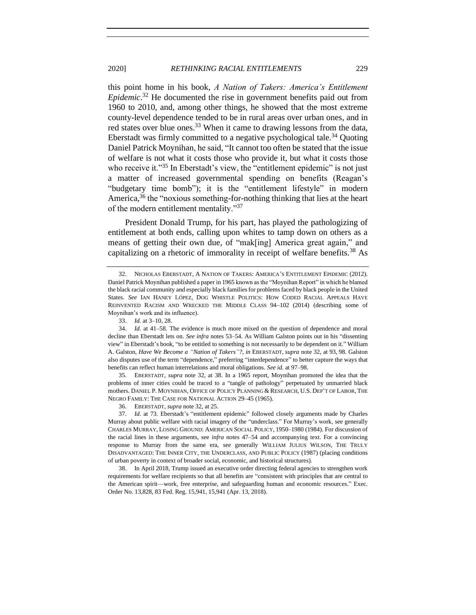<span id="page-12-0"></span>this point home in his book, *A Nation of Takers: America's Entitlement Epidemic*. <sup>32</sup> He documented the rise in government benefits paid out from 1960 to 2010, and, among other things, he showed that the most extreme county-level dependence tended to be in rural areas over urban ones, and in red states over blue ones.<sup>33</sup> When it came to drawing lessons from the data, Eberstadt was firmly committed to a negative psychological tale.<sup>34</sup> Ouoting Daniel Patrick Moynihan, he said, "It cannot too often be stated that the issue of welfare is not what it costs those who provide it, but what it costs those who receive it."<sup>35</sup> In Eberstadt's view, the "entitlement epidemic" is not just a matter of increased governmental spending on benefits (Reagan's "budgetary time bomb"); it is the "entitlement lifestyle" in modern America,  $36$  the "noxious something-for-nothing thinking that lies at the heart of the modern entitlement mentality."<sup>37</sup>

President Donald Trump, for his part, has played the pathologizing of entitlement at both ends, calling upon whites to tamp down on others as a means of getting their own due, of "mak[ing] America great again," and capitalizing on a rhetoric of immorality in receipt of welfare benefits.<sup>38</sup> As

35. EBERSTADT, *supra* note [32,](#page-12-0) at 38. In a 1965 report, Moynihan promoted the idea that the problems of inner cities could be traced to a "tangle of pathology" perpetuated by unmarried black mothers. DANIEL P. MOYNIHAN, OFFICE OF POLICY PLANNING & RESEARCH, U.S. DEP'T OF LABOR, THE NEGRO FAMILY: THE CASE FOR NATIONAL ACTION 29–45 (1965).

36. EBERSTADT, *supra* not[e 32,](#page-12-0) at 25.

37. *Id*. at 73. Eberstadt's "entitlement epidemic" followed closely arguments made by Charles Murray about public welfare with racial imagery of the "underclass." For Murray's work, see generally CHARLES MURRAY, LOSING GROUND: AMERICAN SOCIAL POLICY, 1950–1980 (1984). For discussion of the racial lines in these arguments, see *infra* notes [47–](#page-14-0)[54](#page-15-2) and accompanying text. For a convincing response to Murray from the same era, see generally WILLIAM JULIUS WILSON, THE TRULY DISADVANTAGED: THE INNER CITY, THE UNDERCLASS, AND PUBLIC POLICY (1987) (placing conditions of urban poverty in context of broader social, economic, and historical structures).

38. In April 2018, Trump issued an executive order directing federal agencies to strengthen work requirements for welfare recipients so that all benefits are "consistent with principles that are central to the American spirit—work, free enterprise, and safeguarding human and economic resources." Exec. Order No. 13,828, 83 Fed. Reg. 15,941, 15,941 (Apr. 13, 2018).

<span id="page-12-1"></span>

<sup>32.</sup> NICHOLAS EBERSTADT, A NATION OF TAKERS: AMERICA'S ENTITLEMENT EPIDEMIC (2012). Daniel Patrick Moynihan published a paper in 1965 known as the "Moynihan Report" in which he blamed the black racial community and especially black families for problems faced by black people in the United States. See IAN HANEY LÓPEZ, DOG WHISTLE POLITICS: HOW CODED RACIAL APPEALS HAVE REINVENTED RACISM AND WRECKED THE MIDDLE CLASS 94-102 (2014) (describing some of Moynihan's work and its influence).

<sup>33.</sup> *Id.* at 3–10, 28.

<sup>34.</sup> *Id.* at 41–58. The evidence is much more mixed on the question of dependence and moral decline than Eberstadt lets on. *See infra* notes [53](#page-15-1)[–54.](#page-15-2) As William Galston points out in his "dissenting view" in Eberstadt's book, "to be entitled to something is not necessarily to be dependent on it." William A. Galston, *Have We Become a "Nation of Takers"?*, *in* EBERSTADT, *supra* not[e 32,](#page-12-0) at 93, 98. Galston also disputes use of the term "dependence," preferring "interdependence" to better capture the ways that benefits can reflect human interrelations and moral obligations. *See id.* at 97–98.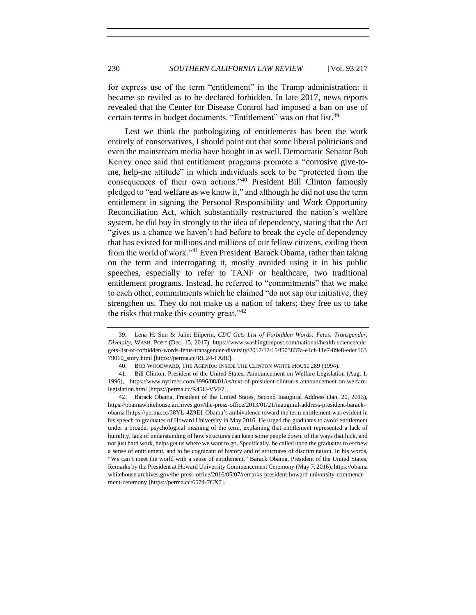for express use of the term "entitlement" in the Trump administration: it became so reviled as to be declared forbidden. In late 2017, news reports revealed that the Center for Disease Control had imposed a ban on use of certain terms in budget documents. "Entitlement" was on that list.<sup>39</sup>

Lest we think the pathologizing of entitlements has been the work entirely of conservatives, I should point out that some liberal politicians and even the mainstream media have bought in as well. Democratic Senator Bob Kerrey once said that entitlement programs promote a "corrosive give-tome, help-me attitude" in which individuals seek to be "protected from the consequences of their own actions."<sup>40</sup> President Bill Clinton famously pledged to "end welfare as we know it," and although he did not use the term entitlement in signing the Personal Responsibility and Work Opportunity Reconciliation Act, which substantially restructured the nation's welfare system, he did buy in strongly to the idea of dependency, stating that the Act "gives us a chance we haven't had before to break the cycle of dependency that has existed for millions and millions of our fellow citizens, exiling them from the world of work."<sup>41</sup> Even President Barack Obama, rather than taking on the term and interrogating it, mostly avoided using it in his public speeches, especially to refer to TANF or healthcare, two traditional entitlement programs. Instead, he referred to "commitments" that we make to each other, commitments which he claimed "do not sap our initiative, they strengthen us. They do not make us a nation of takers; they free us to take the risks that make this country great."<sup>42</sup>

<sup>39.</sup> Lena H. Sun & Juliet Eilperin, *CDC Gets List of Forbidden Words: Fetus, Transgender, Diversity*, WASH. POST (Dec. 15, 2017), https://www.washingtonpost.com/national/health-science/cdcgets-list-of-forbidden-words-fetus-transgender-diversity/2017/12/15/f503837a-e1cf-11e7-89e8-edec163 79010\_story.html [https://perma.cc/RU24-FA8E].

<sup>40.</sup> BOB WOODWARD, THE AGENDA: INSIDE THE CLINTON WHITE HOUSE 289 (1994).

<sup>41.</sup> Bill Clinton, President of the United States, Announcement on Welfare Legislation (Aug. 1, 1996), https://www.nytimes.com/1996/08/01/us/text-of-president-clinton-s-announcement-on-welfarelegislation.html [https://perma.cc/R45U-VVF7].

<sup>42.</sup> Barack Obama, President of the United States, Second Inaugural Address (Jan. 20, 2013), https://obamawhitehouse.archives.gov/the-press-office/2013/01/21/inaugural-address-president-barackobama [https://perma.cc/38YL-4Z9E]. Obama's ambivalence toward the term entitlement was evident in his speech to graduates of Howard University in May 2016. He urged the graduates to avoid entitlement under a broader psychological meaning of the term, explaining that entitlement represented a lack of humility, lack of understanding of how structures can keep some people down, of the ways that luck, and not just hard work, helps get us where we want to go. Specifically, he called upon the graduates to eschew a sense of entitlement, and to be cognizant of history and of structures of discrimination. In his words, "We can't meet the world with a sense of entitlement." Barack Obama, President of the United States, Remarks by the President at Howard University Commencement Ceremony (May 7, 2016), https://obama whitehouse.archives.gov/the-press-office/2016/05/07/remarks-president-howard-university-commence ment-ceremony [https://perma.cc/6574-7CX7].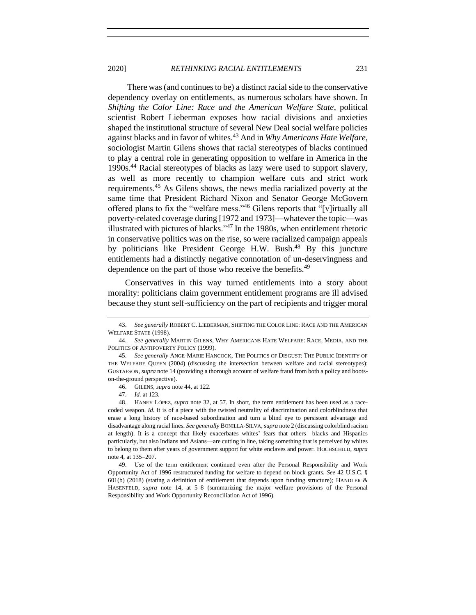#### 2020] *RETHINKING RACIAL ENTITLEMENTS* 231

<span id="page-14-1"></span>There was (and continues to be) a distinct racial side to the conservative dependency overlay on entitlements, as numerous scholars have shown. In *Shifting the Color Line: Race and the American Welfare State*, political scientist Robert Lieberman exposes how racial divisions and anxieties shaped the institutional structure of several New Deal social welfare policies against blacks and in favor of whites.<sup>43</sup> And in *Why Americans Hate Welfare*, sociologist Martin Gilens shows that racial stereotypes of blacks continued to play a central role in generating opposition to welfare in America in the 1990s.<sup>44</sup> Racial stereotypes of blacks as lazy were used to support slavery, as well as more recently to champion welfare cuts and strict work requirements.<sup>45</sup> As Gilens shows, the news media racialized poverty at the same time that President Richard Nixon and Senator George McGovern offered plans to fix the "welfare mess."<sup>46</sup> Gilens reports that "[v]irtually all poverty-related coverage during [1972 and 1973]—whatever the topic—was illustrated with pictures of blacks. $147$  In the 1980s, when entitlement rhetoric in conservative politics was on the rise, so were racialized campaign appeals by politicians like President George H.W. Bush.<sup>48</sup> By this juncture entitlements had a distinctly negative connotation of un-deservingness and dependence on the part of those who receive the benefits.<sup>49</sup>

<span id="page-14-0"></span>Conservatives in this way turned entitlements into a story about morality: politicians claim government entitlement programs are ill advised because they stunt self-sufficiency on the part of recipients and trigger moral

49. Use of the term entitlement continued even after the Personal Responsibility and Work Opportunity Act of 1996 restructured funding for welfare to depend on block grants. *See* 42 U.S.C. § 601(b) (2018) (stating a definition of entitlement that depends upon funding structure); HANDLER  $\&$ HASENFELD, *supra* note [14,](#page-9-1) at 5–8 (summarizing the major welfare provisions of the Personal Responsibility and Work Opportunity Reconciliation Act of 1996).

<sup>43.</sup> *See generally* ROBERT C. LIEBERMAN, SHIFTING THE COLOR LINE: RACE AND THE AMERICAN WELFARE STATE (1998).

<sup>44.</sup> *See generally* MARTIN GILENS, WHY AMERICANS HATE WELFARE: RACE, MEDIA, AND THE POLITICS OF ANTIPOVERTY POLICY (1999).

<sup>45.</sup> *See generally* ANGE-MARIE HANCOCK, THE POLITICS OF DISGUST: THE PUBLIC IDENTITY OF THE WELFARE QUEEN (2004) (discussing the intersection between welfare and racial stereotypes); GUSTAFSON, *supra* not[e 14](#page-9-1) (providing a thorough account of welfare fraud from both a policy and bootson-the-ground perspective).

<sup>46.</sup> GILENS, *supra* not[e 44,](#page-14-1) at 122.

<sup>47.</sup> *Id.* at 123.

<sup>48.</sup> HANEY LÓPEZ, *supra* note [32,](#page-12-0) at 57. In short, the term entitlement has been used as a racecoded weapon. *Id.* It is of a piece with the twisted neutrality of discrimination and colorblindness that erase a long history of race-based subordination and turn a blind eye to persistent advantage and disadvantage along racial lines. *See generally* BONILLA-SILVA, *supra* not[e 2](#page-4-0) (discussing colorblind racism at length). It is a concept that likely exacerbates whites' fears that others—blacks and Hispanics particularly, but also Indians and Asians—are cutting in line, taking something that is perceived by whites to belong to them after years of government support for white enclaves and power. HOCHSCHILD, *supra* not[e 4,](#page-4-1) at 135−207.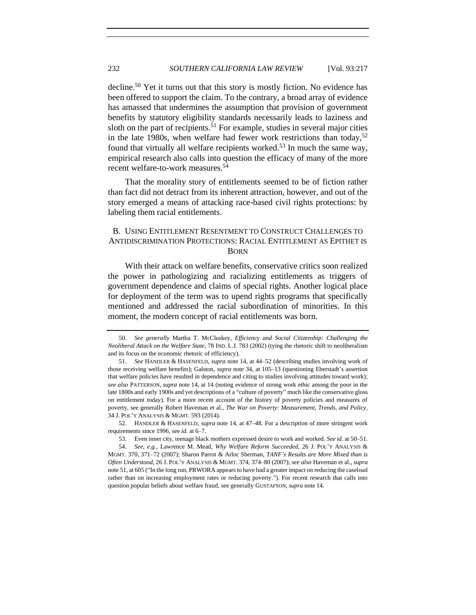<span id="page-15-3"></span>decline.<sup>50</sup> Yet it turns out that this story is mostly fiction. No evidence has been offered to support the claim. To the contrary, a broad array of evidence has amassed that undermines the assumption that provision of government benefits by statutory eligibility standards necessarily leads to laziness and sloth on the part of recipients.<sup>51</sup> For example, studies in several major cities in the late 1980s, when welfare had fewer work restrictions than today,<sup>52</sup> found that virtually all welfare recipients worked.<sup>53</sup> In much the same way, empirical research also calls into question the efficacy of many of the more recent welfare-to-work measures.<sup>54</sup>

<span id="page-15-2"></span><span id="page-15-1"></span>That the morality story of entitlements seemed to be of fiction rather than fact did not detract from its inherent attraction, however, and out of the story emerged a means of attacking race-based civil rights protections: by labeling them racial entitlements.

# <span id="page-15-0"></span>B. USING ENTITLEMENT RESENTMENT TO CONSTRUCT CHALLENGES TO ANTIDISCRIMINATION PROTECTIONS: RACIAL ENTITLEMENT AS EPITHET IS BORN

With their attack on welfare benefits, conservative critics soon realized the power in pathologizing and racializing entitlements as triggers of government dependence and claims of special rights. Another logical place for deployment of the term was to upend rights programs that specifically mentioned and addressed the racial subordination of minorities. In this moment, the modern concept of racial entitlements was born.

52. HANDLER & HASENFELD, *supra* not[e 14,](#page-9-1) at 47–48. For a description of more stringent work requirements since 1996, see *id.* at 6–7.

<sup>50.</sup> *See generally* Martha T. McCluskey, *Efficiency and Social Citizenship: Challenging the Neoliberal Attack on the Welfare State*, 78 IND. L.J. 783 (2002) (tying the rhetoric shift to neoliberalism and its focus on the economic rhetoric of efficiency).

<sup>51.</sup> *See* HANDLER & HASENFELD, *supra* not[e 14,](#page-9-1) at 44–52 (describing studies involving work of those receiving welfare benefits); Galston, *supra* note [34,](#page-12-1) at 105–13 (questioning Eberstadt's assertion that welfare policies have resulted in dependence and citing to studies involving attitudes toward work); *see also* PATTERSON, *supra* note [14,](#page-9-1) at 14 (noting evidence of strong work ethic among the poor in the late 1800s and early 1900s and yet descriptions of a "culture of poverty" much like the conservative gloss on entitlement today). For a more recent account of the history of poverty policies and measures of poverty, see generally Robert Haveman et al., *The War on Poverty: Measurement, Trends, and Policy*, 34 J. POL'Y ANALYSIS & MGMT. 593 (2014).

<sup>53.</sup> Even inner city, teenage black mothers expressed desire to work and worked. *See id*. at 50–51.

<sup>54.</sup> *See, e*.*g.*, Lawrence M. Mead, *Why Welfare Reform Succeeded*, 26 J. POL'Y ANALYSIS & MGMT. 370, 371–72 (2007); Sharon Parrot & Arloc Sherman, *TANF's Results are More Mixed than is Often Understood*, 26 J. POL'Y ANALYSIS & MGMT. 374, 374–80 (2007); *see also* Haveman et al., *supra* not[e 51,](#page-15-3) at 605 ("In the long run, PRWORA appears to have had a greater impact on reducing the caseload rather than on increasing employment rates or reducing poverty."). For recent research that calls into question popular beliefs about welfare fraud, see generally GUSTAFSON, *supra* note [14.](#page-9-1)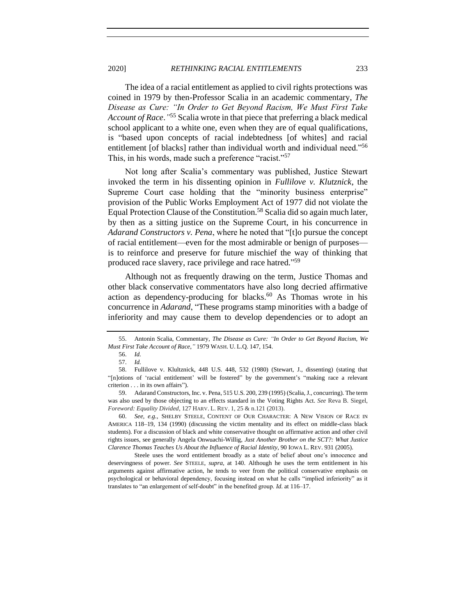<span id="page-16-0"></span>The idea of a racial entitlement as applied to civil rights protections was coined in 1979 by then-Professor Scalia in an academic commentary, *The Disease as Cure: "In Order to Get Beyond Racism, We Must First Take Account of Race*.*"* <sup>55</sup> Scalia wrote in that piece that preferring a black medical school applicant to a white one, even when they are of equal qualifications, is "based upon concepts of racial indebtedness [of whites] and racial entitlement [of blacks] rather than individual worth and individual need."<sup>56</sup> This, in his words, made such a preference "racist."<sup>57</sup>

Not long after Scalia's commentary was published, Justice Stewart invoked the term in his dissenting opinion in *Fullilove v. Klutznick*, the Supreme Court case holding that the "minority business enterprise" provision of the Public Works Employment Act of 1977 did not violate the Equal Protection Clause of the Constitution.<sup>58</sup> Scalia did so again much later, by then as a sitting justice on the Supreme Court, in his concurrence in *Adarand Constructors v. Pena*, where he noted that "[t]o pursue the concept of racial entitlement—even for the most admirable or benign of purposes is to reinforce and preserve for future mischief the way of thinking that produced race slavery, race privilege and race hatred."<sup>59</sup>

Although not as frequently drawing on the term, Justice Thomas and other black conservative commentators have also long decried affirmative action as dependency-producing for blacks. $^{60}$  As Thomas wrote in his concurrence in *Adarand*, "These programs stamp minorities with a badge of inferiority and may cause them to develop dependencies or to adopt an

<sup>55.</sup> Antonin Scalia, Commentary, *The Disease as Cure: "In Order to Get Beyond Racism, We Must First Take Account of Race*,*"* 1979 WASH. U. L.Q. 147, 154.

<sup>56.</sup> *Id.*

<sup>57.</sup> *Id.*

<sup>58.</sup> Fullilove v. Klultznick, 448 U.S. 448, 532 (1980) (Stewart, J., dissenting) (stating that "[n]otions of 'racial entitlement' will be fostered" by the government's "making race a relevant criterion . . . in its own affairs").

<sup>59.</sup> Adarand Constructors, Inc. v. Pena, 515 U.S. 200, 239 (1995) (Scalia, J., concurring). The term was also used by those objecting to an effects standard in the Voting Rights Act. *See* Reva B. Siegel, *Foreword: Equality Divided*, 127 HARV. L. REV. 1, 25 & n.121 (2013).

<sup>60.</sup> *See, e.g.*, SHELBY STEELE, CONTENT OF OUR CHARACTER: A NEW VISION OF RACE IN AMERICA 118–19, 134 (1990) (discussing the victim mentality and its effect on middle-class black students). For a discussion of black and white conservative thought on affirmative action and other civil rights issues, see generally Angela Onwuachi-Willig, *Just Another Brother on the SCT?: What Justice Clarence Thomas Teaches Us About the Influence of Racial Identity*, 90 IOWA L. REV. 931 (2005).

Steele uses the word entitlement broadly as a state of belief about one's innocence and deservingness of power. *See* STEELE, *supra*, at 140. Although he uses the term entitlement in his arguments against affirmative action, he tends to veer from the political conservative emphasis on psychological or behavioral dependency, focusing instead on what he calls "implied inferiority" as it translates to "an enlargement of self-doubt" in the benefited group. *Id*. at 116–17.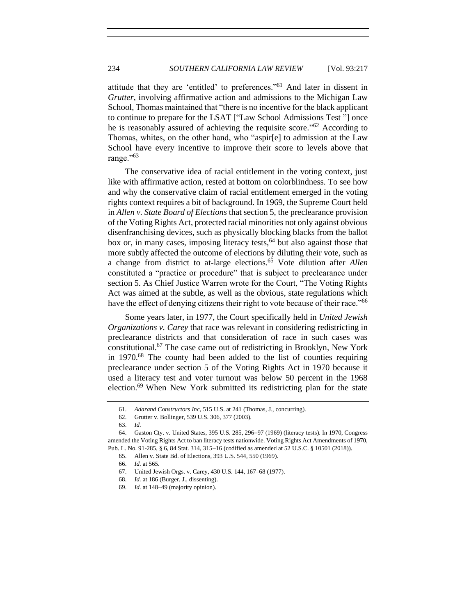attitude that they are 'entitled' to preferences."<sup>61</sup> And later in dissent in *Grutter*, involving affirmative action and admissions to the Michigan Law School, Thomas maintained that "there is no incentive for the black applicant to continue to prepare for the LSAT ["Law School Admissions Test "] once he is reasonably assured of achieving the requisite score."<sup>62</sup> According to Thomas, whites, on the other hand, who "aspir[e] to admission at the Law School have every incentive to improve their score to levels above that range."<sup>63</sup>

The conservative idea of racial entitlement in the voting context, just like with affirmative action, rested at bottom on colorblindness. To see how and why the conservative claim of racial entitlement emerged in the voting rights context requires a bit of background. In 1969, the Supreme Court held in *Allen v. State Board of Elections* that section 5, the preclearance provision of the Voting Rights Act, protected racial minorities not only against obvious disenfranchising devices, such as physically blocking blacks from the ballot box or, in many cases, imposing literacy tests,  $64$  but also against those that more subtly affected the outcome of elections by diluting their vote, such as a change from district to at-large elections.<sup>65</sup> Vote dilution after *Allen* constituted a "practice or procedure" that is subject to preclearance under section 5. As Chief Justice Warren wrote for the Court, "The Voting Rights Act was aimed at the subtle, as well as the obvious, state regulations which have the effect of denying citizens their right to vote because of their race."<sup>66</sup>

Some years later, in 1977, the Court specifically held in *United Jewish Organizations v. Carey* that race was relevant in considering redistricting in preclearance districts and that consideration of race in such cases was constitutional.<sup>67</sup> The case came out of redistricting in Brooklyn, New York in 1970.<sup>68</sup> The county had been added to the list of counties requiring preclearance under section 5 of the Voting Rights Act in 1970 because it used a literacy test and voter turnout was below 50 percent in the 1968 election.<sup>69</sup> When New York submitted its redistricting plan for the state

<sup>61.</sup> *Adarand Constructors Inc*, 515 U.S. at 241 (Thomas, J., concurring).

<sup>62.</sup> Grutter v. Bollinger, 539 U.S. 306, 377 (2003).

<sup>63.</sup> *Id.*

<sup>64.</sup> Gaston Cty. v. United States, 395 U.S. 285, 296−97 (1969) (literacy tests). In 1970, Congress amended the Voting Rights Act to ban literacy tests nationwide. Voting Rights Act Amendments of 1970, Pub. L. No. 91-285, § 6, 84 Stat. 314, 315−16 (codified as amended at 52 U.S.C. § 10501 (2018)).

<sup>65.</sup> Allen v. State Bd. of Elections, 393 U.S. 544, 550 (1969).

<sup>66.</sup> *Id.* at 565.

<sup>67.</sup> United Jewish Orgs. v. Carey, 430 U.S. 144, 167–68 (1977).

<sup>68.</sup> *Id.* at 186 (Burger, J., dissenting).

<sup>69.</sup> *Id.* at 148–49 (majority opinion).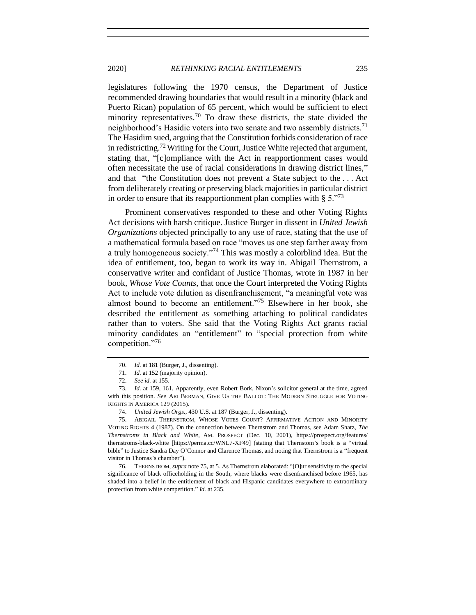legislatures following the 1970 census, the Department of Justice recommended drawing boundaries that would result in a minority (black and Puerto Rican) population of 65 percent, which would be sufficient to elect minority representatives.<sup>70</sup> To draw these districts, the state divided the neighborhood's Hasidic voters into two senate and two assembly districts.<sup>71</sup> The Hasidim sued, arguing that the Constitution forbids consideration of race in redistricting.<sup>72</sup> Writing for the Court, Justice White rejected that argument, stating that, "[c]ompliance with the Act in reapportionment cases would often necessitate the use of racial considerations in drawing district lines," and that "the Constitution does not prevent a State subject to the . . . Act from deliberately creating or preserving black majorities in particular district in order to ensure that its reapportionment plan complies with  $\S 5.^{173}$ 

<span id="page-18-1"></span>Prominent conservatives responded to these and other Voting Rights Act decisions with harsh critique. Justice Burger in dissent in *United Jewish Organizations* objected principally to any use of race, stating that the use of a mathematical formula based on race "moves us one step farther away from a truly homogeneous society."<sup>74</sup> This was mostly a colorblind idea. But the idea of entitlement, too, began to work its way in. Abigail Thernstrom, a conservative writer and confidant of Justice Thomas, wrote in 1987 in her book, *Whose Vote Counts,* that once the Court interpreted the Voting Rights Act to include vote dilution as disenfranchisement, "a meaningful vote was almost bound to become an entitlement."<sup>75</sup> Elsewhere in her book, she described the entitlement as something attaching to political candidates rather than to voters. She said that the Voting Rights Act grants racial minority candidates an "entitlement" to "special protection from white competition."<sup>76</sup>

<span id="page-18-0"></span><sup>70.</sup> *Id.* at 181 (Burger, J., dissenting).

<sup>71.</sup> *Id.* at 152 (majority opinion).

<sup>72.</sup> *See id.* at 155.

<sup>73.</sup> *Id.* at 159, 161. Apparently, even Robert Bork, Nixon's solicitor general at the time, agreed with this position. *See* ARI BERMAN, GIVE US THE BALLOT: THE MODERN STRUGGLE FOR VOTING RIGHTS IN AMERICA 129 (2015).

<sup>74.</sup> *United Jewish Orgs.*, 430 U.S. at 187 (Burger, J., dissenting).

<sup>75.</sup> ABIGAIL THERNSTROM, WHOSE VOTES COUNT? AFFIRMATIVE ACTION AND MINORITY VOTING RIGHTS 4 (1987). On the connection between Thernstrom and Thomas, see Adam Shatz, *The Thernstroms in Black and White*, AM. PROSPECT (Dec. 10, 2001), https://prospect.org/features/ thernstroms-black-white [https://perma.cc/WNL7-XF49] (stating that Thernstom's book is a "virtual bible" to Justice Sandra Day O'Connor and Clarence Thomas, and noting that Thernstrom is a "frequent visitor in Thomas's chamber").

<sup>76.</sup> THERNSTROM, *supra* not[e 75,](#page-18-0) at 5. As Thernstrom elaborated: "[O]ur sensitivity to the special significance of black officeholding in the South, where blacks were disenfranchised before 1965, has shaded into a belief in the entitlement of black and Hispanic candidates everywhere to extraordinary protection from white competition." *Id.* at 235.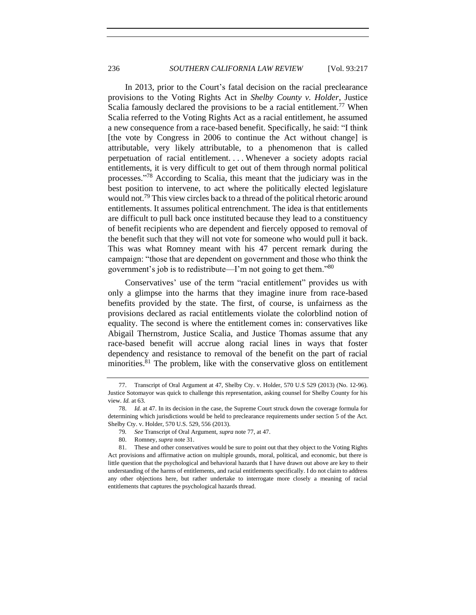<span id="page-19-0"></span>In 2013, prior to the Court's fatal decision on the racial preclearance provisions to the Voting Rights Act in *Shelby County v. Holder*, Justice Scalia famously declared the provisions to be a racial entitlement.<sup>77</sup> When Scalia referred to the Voting Rights Act as a racial entitlement, he assumed a new consequence from a race-based benefit. Specifically, he said: "I think [the vote by Congress in 2006 to continue the Act without change] is attributable, very likely attributable, to a phenomenon that is called perpetuation of racial entitlement. . . . Whenever a society adopts racial entitlements, it is very difficult to get out of them through normal political processes." <sup>78</sup> According to Scalia, this meant that the judiciary was in the best position to intervene, to act where the politically elected legislature would not.<sup>79</sup> This view circles back to a thread of the political rhetoric around entitlements. It assumes political entrenchment. The idea is that entitlements are difficult to pull back once instituted because they lead to a constituency of benefit recipients who are dependent and fiercely opposed to removal of the benefit such that they will not vote for someone who would pull it back. This was what Romney meant with his 47 percent remark during the campaign: "those that are dependent on government and those who think the government's job is to redistribute—I'm not going to get them."<sup>80</sup>

Conservatives' use of the term "racial entitlement" provides us with only a glimpse into the harms that they imagine inure from race-based benefits provided by the state. The first, of course, is unfairness as the provisions declared as racial entitlements violate the colorblind notion of equality. The second is where the entitlement comes in: conservatives like Abigail Thernstrom, Justice Scalia, and Justice Thomas assume that any race-based benefit will accrue along racial lines in ways that foster dependency and resistance to removal of the benefit on the part of racial minorities.<sup>81</sup> The problem, like with the conservative gloss on entitlement

<sup>77.</sup> Transcript of Oral Argument at 47, Shelby Cty. v. Holder, 570 U.S 529 (2013) (No. 12-96). Justice Sotomayor was quick to challenge this representation, asking counsel for Shelby County for his view. *Id.* at 63.

<sup>78.</sup> *Id.* at 47. In its decision in the case, the Supreme Court struck down the coverage formula for determining which jurisdictions would be held to preclearance requirements under section 5 of the Act. Shelby Cty. v. Holder, 570 U.S. 529, 556 (2013).

<sup>79</sup>*. See* Transcript of Oral Argument, *supra* note [77,](#page-19-0) at 47.

<sup>80.</sup> Romney, *supra* not[e 31.](#page-11-0)

<sup>81.</sup> These and other conservatives would be sure to point out that they object to the Voting Rights Act provisions and affirmative action on multiple grounds, moral, political, and economic, but there is little question that the psychological and behavioral hazards that I have drawn out above are key to their understanding of the harms of entitlements, and racial entitlements specifically. I do not claim to address any other objections here, but rather undertake to interrogate more closely a meaning of racial entitlements that captures the psychological hazards thread.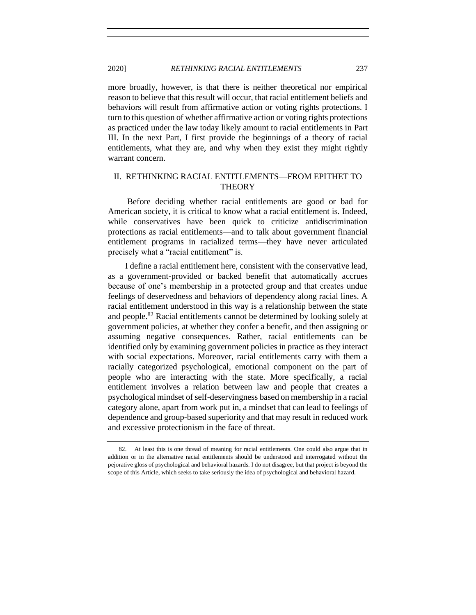more broadly, however, is that there is neither theoretical nor empirical reason to believe that this result will occur, that racial entitlement beliefs and behaviors will result from affirmative action or voting rights protections. I turn to this question of whether affirmative action or voting rights protections as practiced under the law today likely amount to racial entitlements in Part III. In the next Part, I first provide the beginnings of a theory of racial entitlements, what they are, and why when they exist they might rightly warrant concern.

## <span id="page-20-0"></span>II. RETHINKING RACIAL ENTITLEMENTS—FROM EPITHET TO **THEORY**

Before deciding whether racial entitlements are good or bad for American society, it is critical to know what a racial entitlement is. Indeed, while conservatives have been quick to criticize antidiscrimination protections as racial entitlements—and to talk about government financial entitlement programs in racialized terms—they have never articulated precisely what a "racial entitlement" is.

I define a racial entitlement here, consistent with the conservative lead, as a government-provided or backed benefit that automatically accrues because of one's membership in a protected group and that creates undue feelings of deservedness and behaviors of dependency along racial lines. A racial entitlement understood in this way is a relationship between the state and people.<sup>82</sup> Racial entitlements cannot be determined by looking solely at government policies, at whether they confer a benefit, and then assigning or assuming negative consequences. Rather, racial entitlements can be identified only by examining government policies in practice as they interact with social expectations. Moreover, racial entitlements carry with them a racially categorized psychological, emotional component on the part of people who are interacting with the state. More specifically, a racial entitlement involves a relation between law and people that creates a psychological mindset of self-deservingness based on membership in a racial category alone, apart from work put in, a mindset that can lead to feelings of dependence and group-based superiority and that may result in reduced work and excessive protectionism in the face of threat.

<sup>82.</sup> At least this is one thread of meaning for racial entitlements. One could also argue that in addition or in the alternative racial entitlements should be understood and interrogated without the pejorative gloss of psychological and behavioral hazards. I do not disagree, but that project is beyond the scope of this Article, which seeks to take seriously the idea of psychological and behavioral hazard.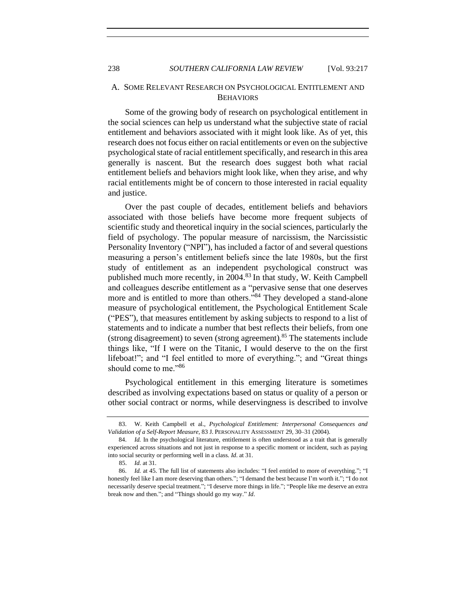## <span id="page-21-0"></span>A. SOME RELEVANT RESEARCH ON PSYCHOLOGICAL ENTITLEMENT AND BEHAVIORS

Some of the growing body of research on psychological entitlement in the social sciences can help us understand what the subjective state of racial entitlement and behaviors associated with it might look like. As of yet, this research does not focus either on racial entitlements or even on the subjective psychological state of racial entitlement specifically, and research in this area generally is nascent. But the research does suggest both what racial entitlement beliefs and behaviors might look like, when they arise, and why racial entitlements might be of concern to those interested in racial equality and justice.

<span id="page-21-1"></span>Over the past couple of decades, entitlement beliefs and behaviors associated with those beliefs have become more frequent subjects of scientific study and theoretical inquiry in the social sciences, particularly the field of psychology. The popular measure of narcissism, the Narcissistic Personality Inventory ("NPI"), has included a factor of and several questions measuring a person's entitlement beliefs since the late 1980s, but the first study of entitlement as an independent psychological construct was published much more recently, in 2004.<sup>83</sup> In that study, W. Keith Campbell and colleagues describe entitlement as a "pervasive sense that one deserves more and is entitled to more than others."<sup>84</sup> They developed a stand-alone measure of psychological entitlement, the Psychological Entitlement Scale ("PES"), that measures entitlement by asking subjects to respond to a list of statements and to indicate a number that best reflects their beliefs, from one (strong disagreement) to seven (strong agreement).<sup>85</sup> The statements include things like, "If I were on the Titanic, I would deserve to the on the first lifeboat!"; and "I feel entitled to more of everything."; and "Great things should come to me."<sup>86</sup>

Psychological entitlement in this emerging literature is sometimes described as involving expectations based on status or quality of a person or other social contract or norms, while deservingness is described to involve

<sup>83.</sup> W. Keith Campbell et al., *Psychological Entitlement: Interpersonal Consequences and Validation of a Self-Report Measure*, 83 J. PERSONALITY ASSESSMENT 29, 30–31 (2004).

<sup>84.</sup> *Id.* In the psychological literature, entitlement is often understood as a trait that is generally experienced across situations and not just in response to a specific moment or incident, such as paying into social security or performing well in a class. *Id*. at 31.

 <sup>85.</sup> *Id.* at 31.

<sup>86.</sup> *Id.* at 45. The full list of statements also includes: "I feel entitled to more of everything."; "I honestly feel like I am more deserving than others."; "I demand the best because I'm worth it."; "I do not necessarily deserve special treatment."; "I deserve more things in life."; "People like me deserve an extra break now and then."; and "Things should go my way." *Id*.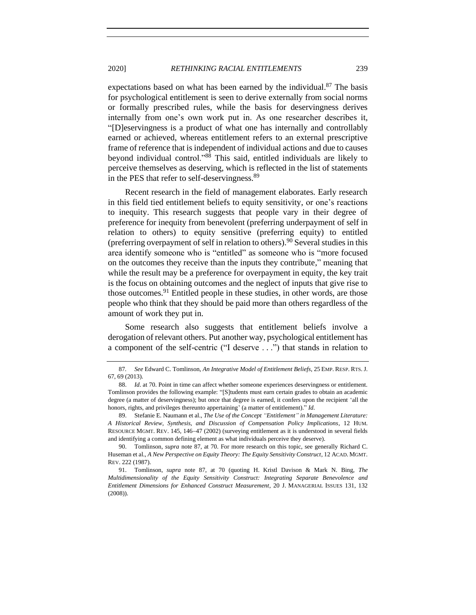expectations based on what has been earned by the individual. $87$  The basis for psychological entitlement is seen to derive externally from social norms or formally prescribed rules, while the basis for deservingness derives internally from one's own work put in. As one researcher describes it, "[D]eservingness is a product of what one has internally and controllably earned or achieved, whereas entitlement refers to an external prescriptive frame of reference that is independent of individual actions and due to causes beyond individual control."<sup>88</sup> This said, entitled individuals are likely to perceive themselves as deserving, which is reflected in the list of statements in the PES that refer to self-deservingness.<sup>89</sup>

Recent research in the field of management elaborates. Early research in this field tied entitlement beliefs to equity sensitivity, or one's reactions to inequity. This research suggests that people vary in their degree of preference for inequity from benevolent (preferring underpayment of self in relation to others) to equity sensitive (preferring equity) to entitled (preferring overpayment of self in relation to others).<sup>90</sup> Several studies in this area identify someone who is "entitled" as someone who is "more focused on the outcomes they receive than the inputs they contribute," meaning that while the result may be a preference for overpayment in equity, the key trait is the focus on obtaining outcomes and the neglect of inputs that give rise to those outcomes.<sup>91</sup> Entitled people in these studies, in other words, are those people who think that they should be paid more than others regardless of the amount of work they put in.

Some research also suggests that entitlement beliefs involve a derogation of relevant others. Put another way, psychological entitlement has a component of the self-centric ("I deserve . . .") that stands in relation to

<span id="page-22-0"></span>

<sup>87</sup>*. See* Edward C. Tomlinson, *An Integrative Model of Entitlement Beliefs*, 25 EMP. RESP. RTS. J. 67, 69 (2013).

<sup>88.</sup> *Id*. at 70. Point in time can affect whether someone experiences deservingness or entitlement. Tomlinson provides the following example: "[S]tudents must earn certain grades to obtain an academic degree (a matter of deservingness); but once that degree is earned, it confers upon the recipient 'all the honors, rights, and privileges thereunto appertaining' (a matter of entitlement)." *Id*.

<sup>89.</sup> Stefanie E. Naumann et al., *The Use of the Concept "Entitlement" in Management Literature: A Historical Review, Synthesis, and Discussion of Compensation Policy Implications*, 12 HUM. RESOURCE MGMT. REV. 145, 146−47 (2002) (surveying entitlement as it is understood in several fields and identifying a common defining element as what individuals perceive they deserve).

<sup>90.</sup> Tomlinson, *supra* note [87,](#page-22-0) at 70. For more research on this topic, see generally Richard C. Huseman et al., *A New Perspective on Equity Theory: The Equity Sensitivity Construct*, 12 ACAD. MGMT. REV. 222 (1987).

<sup>91.</sup> Tomlinson, *supra* note [87,](#page-22-0) at 70 (quoting H. Kristl Davison & Mark N. Bing, *The Multidimensionality of the Equity Sensitivity Construct: Integrating Separate Benevolence and Entitlement Dimensions for Enhanced Construct Measurement*, 20 J. MANAGERIAL ISSUES 131, 132 (2008)).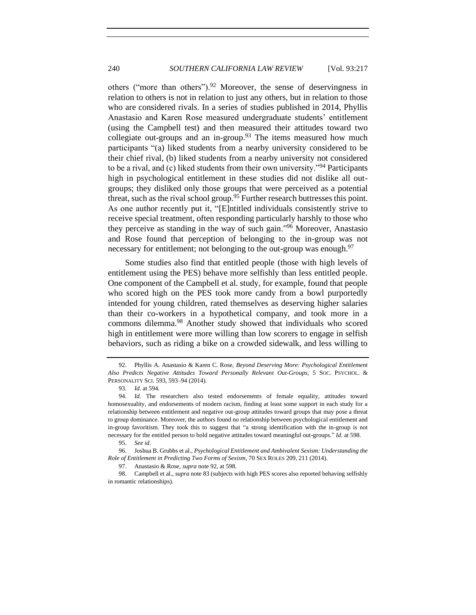<span id="page-23-0"></span>others ("more than others"). <sup>92</sup> Moreover, the sense of deservingness in relation to others is not in relation to just any others, but in relation to those who are considered rivals. In a series of studies published in 2014, Phyllis Anastasio and Karen Rose measured undergraduate students' entitlement (using the Campbell test) and then measured their attitudes toward two collegiate out-groups and an in-group.<sup>93</sup> The items measured how much participants "(a) liked students from a nearby university considered to be their chief rival, (b) liked students from a nearby university not considered to be a rival, and (c) liked students from their own university."<sup>94</sup> Participants high in psychological entitlement in these studies did not dislike all outgroups; they disliked only those groups that were perceived as a potential threat, such as the rival school group.<sup>95</sup> Further research buttresses this point. As one author recently put it, "[E]ntitled individuals consistently strive to receive special treatment, often responding particularly harshly to those who they perceive as standing in the way of such gain."<sup>96</sup> Moreover, Anastasio and Rose found that perception of belonging to the in-group was not necessary for entitlement; not belonging to the out-group was enough.<sup>97</sup>

Some studies also find that entitled people (those with high levels of entitlement using the PES) behave more selfishly than less entitled people. One component of the Campbell et al. study, for example, found that people who scored high on the PES took more candy from a bowl purportedly intended for young children, rated themselves as deserving higher salaries than their co-workers in a hypothetical company, and took more in a commons dilemma.<sup>98</sup> Another study showed that individuals who scored high in entitlement were more willing than low scorers to engage in selfish behaviors, such as riding a bike on a crowded sidewalk, and less willing to

<sup>92.</sup> Phyllis A. Anastasio & Karen C. Rose, *Beyond Deserving More: Psychological Entitlement Also Predicts Negative Attitudes Toward Personally Relevant Out-Groups*, 5 SOC. PSYCHOL. & PERSONALITY SCI. 593, 593–94 (2014).

<sup>93.</sup> *Id*. at 594.

<sup>94.</sup> *Id*. The researchers also tested endorsements of female equality, attitudes toward homosexuality, and endorsements of modern racism, finding at least some support in each study for a relationship between entitlement and negative out-group attitudes toward groups that may pose a threat to group dominance. Moreover, the authors found no relationship between psychological entitlement and in-group favoritism. They took this to suggest that "a strong identification with the in-group is not necessary for the entitled person to hold negative attitudes toward meaningful out-groups." *Id*. at 598.

<sup>95.</sup> *See id*.

<sup>96.</sup> Joshua B. Grubbs et al., *Psychological Entitlement and Ambivalent Sexism: Understanding the Role of Entitlement in Predicting Two Forms of Sexism*, 70 SEX ROLES 209, 211 (2014).

<sup>97.</sup> Anastasio & Rose, *supra* not[e 92,](#page-23-0) at 598.

<sup>98.</sup> Campbell et al., *supra* not[e 83](#page-21-1) (subjects with high PES scores also reported behaving selfishly in romantic relationships).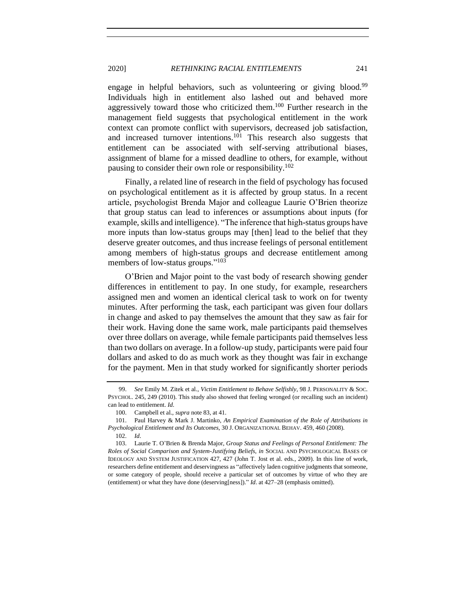engage in helpful behaviors, such as volunteering or giving blood.<sup>99</sup> Individuals high in entitlement also lashed out and behaved more aggressively toward those who criticized them.<sup>100</sup> Further research in the management field suggests that psychological entitlement in the work context can promote conflict with supervisors, decreased job satisfaction, and increased turnover intentions.<sup>101</sup> This research also suggests that entitlement can be associated with self-serving attributional biases, assignment of blame for a missed deadline to others, for example, without pausing to consider their own role or responsibility.<sup>102</sup>

Finally, a related line of research in the field of psychology has focused on psychological entitlement as it is affected by group status. In a recent article, psychologist Brenda Major and colleague Laurie O'Brien theorize that group status can lead to inferences or assumptions about inputs (for example, skills and intelligence). "The inference that high-status groups have more inputs than low-status groups may [then] lead to the belief that they deserve greater outcomes, and thus increase feelings of personal entitlement among members of high-status groups and decrease entitlement among members of low-status groups."<sup>103</sup>

O'Brien and Major point to the vast body of research showing gender differences in entitlement to pay. In one study, for example, researchers assigned men and women an identical clerical task to work on for twenty minutes. After performing the task, each participant was given four dollars in change and asked to pay themselves the amount that they saw as fair for their work. Having done the same work, male participants paid themselves over three dollars on average, while female participants paid themselves less than two dollars on average. In a follow-up study, participants were paid four dollars and asked to do as much work as they thought was fair in exchange for the payment. Men in that study worked for significantly shorter periods

<span id="page-24-0"></span>

<sup>99.</sup> *See* Emily M. Zitek et al., *Victim Entitlement to Behave Selfishly*, 98 J. PERSONALITY & SOC. PSYCHOL. 245, 249 (2010). This study also showed that feeling wronged (or recalling such an incident) can lead to entitlement. *Id*.

<sup>100.</sup> Campbell et al., *supra* note [83,](#page-21-1) at 41.

<sup>101.</sup> Paul Harvey & Mark J. Martinko, *An Empirical Examination of the Role of Attributions in Psychological Entitlement and Its Outcomes*, 30 J. ORGANIZATIONAL BEHAV. 459, 460 (2008).

<sup>102.</sup> *Id*. 103. Laurie T. O'Brien & Brenda Major, *Group Status and Feelings of Personal Entitlement: The Roles of Social Comparison and System-Justifying Beliefs*, *in* SOCIAL AND PSYCHOLOGICAL BASES OF IDEOLOGY AND SYSTEM JUSTIFICATION 427, 427 (John T. Jost et al. eds., 2009). In this line of work, researchers define entitlement and deservingness as "affectively laden cognitive judgments that someone, or some category of people, should receive a particular set of outcomes by virtue of who they are (entitlement) or what they have done (deserving[ness])." *Id*. at 427–28 (emphasis omitted).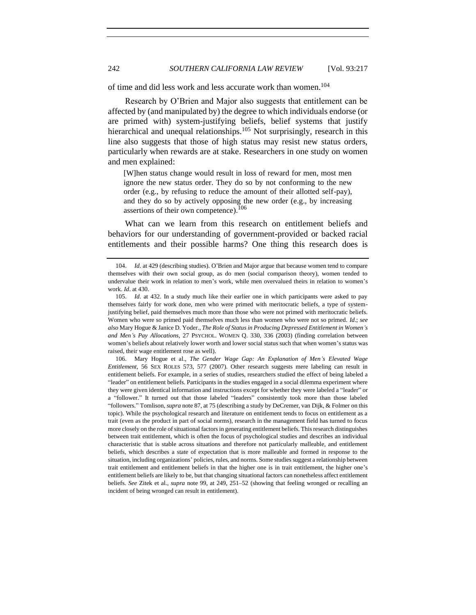of time and did less work and less accurate work than women.<sup>104</sup>

Research by O'Brien and Major also suggests that entitlement can be affected by (and manipulated by) the degree to which individuals endorse (or are primed with) system-justifying beliefs, belief systems that justify hierarchical and unequal relationships.<sup>105</sup> Not surprisingly, research in this line also suggests that those of high status may resist new status orders, particularly when rewards are at stake. Researchers in one study on women and men explained:

[W]hen status change would result in loss of reward for men, most men ignore the new status order. They do so by not conforming to the new order (e.g., by refusing to reduce the amount of their allotted self-pay), and they do so by actively opposing the new order (e.g., by increasing assertions of their own competence).<sup>106</sup>

What can we learn from this research on entitlement beliefs and behaviors for our understanding of government-provided or backed racial entitlements and their possible harms? One thing this research does is

106. Mary Hogue et al., *The Gender Wage Gap: An Explanation of Men's Elevated Wage Entitlement*, 56 SEX ROLES 573, 577 (2007). Other research suggests mere labeling can result in entitlement beliefs. For example, in a series of studies, researchers studied the effect of being labeled a "leader" on entitlement beliefs. Participants in the studies engaged in a social dilemma experiment where they were given identical information and instructions except for whether they were labeled a "leader" or a "follower." It turned out that those labeled "leaders" consistently took more than those labeled "followers." Tomlison, *supra* not[e 87,](#page-22-0) at 75 (describing a study by DeCremer, van Dijk, & Folmer on this topic). While the psychological research and literature on entitlement tends to focus on entitlement as a trait (even as the product in part of social norms), research in the management field has turned to focus more closely on the role of situational factors in generating entitlement beliefs. This research distinguishes between trait entitlement, which is often the focus of psychological studies and describes an individual characteristic that is stable across situations and therefore not particularly malleable, and entitlement beliefs, which describes a state of expectation that is more malleable and formed in response to the situation, including organizations' policies, rules, and norms. Some studies suggest a relationship between trait entitlement and entitlement beliefs in that the higher one is in trait entitlement, the higher one's entitlement beliefs are likely to be, but that changing situational factors can nonetheless affect entitlement beliefs. *See* Zitek et al., *supra* note [99,](#page-24-0) at 249, 251–52 (showing that feeling wronged or recalling an incident of being wronged can result in entitlement).

<sup>104.</sup> *Id*. at 429 (describing studies). O'Brien and Major argue that because women tend to compare themselves with their own social group, as do men (social comparison theory), women tended to undervalue their work in relation to men's work, while men overvalued theirs in relation to women's work. *Id*. at 430.

<sup>105.</sup> *Id*. at 432. In a study much like their earlier one in which participants were asked to pay themselves fairly for work done, men who were primed with meritocratic beliefs, a type of systemjustifying belief, paid themselves much more than those who were not primed with meritocratic beliefs. Women who were so primed paid themselves much less than women who were not so primed. *Id*.; *see also* Mary Hogue & Janice D. Yoder., *The Role of Status in Producing Depressed Entitlement in Women's and Men's Pay Allocations*, 27 PSYCHOL. WOMEN Q. 330, 336 (2003) (finding correlation between women's beliefs about relatively lower worth and lower social status such that when women's status was raised, their wage entitlement rose as well).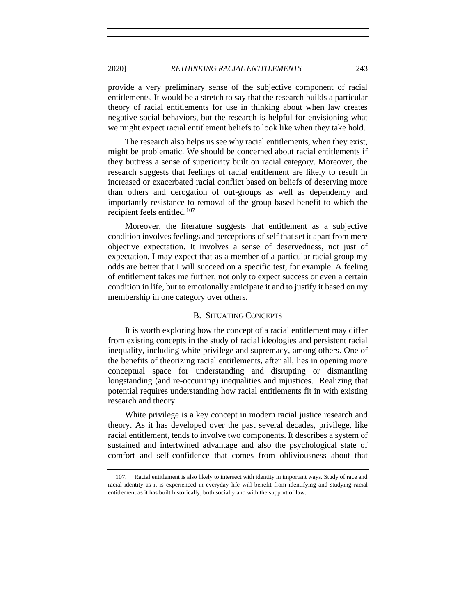provide a very preliminary sense of the subjective component of racial entitlements. It would be a stretch to say that the research builds a particular theory of racial entitlements for use in thinking about when law creates negative social behaviors, but the research is helpful for envisioning what we might expect racial entitlement beliefs to look like when they take hold.

The research also helps us see why racial entitlements, when they exist, might be problematic. We should be concerned about racial entitlements if they buttress a sense of superiority built on racial category. Moreover, the research suggests that feelings of racial entitlement are likely to result in increased or exacerbated racial conflict based on beliefs of deserving more than others and derogation of out-groups as well as dependency and importantly resistance to removal of the group-based benefit to which the recipient feels entitled.<sup>107</sup>

Moreover, the literature suggests that entitlement as a subjective condition involves feelings and perceptions of self that set it apart from mere objective expectation. It involves a sense of deservedness, not just of expectation. I may expect that as a member of a particular racial group my odds are better that I will succeed on a specific test, for example. A feeling of entitlement takes me further, not only to expect success or even a certain condition in life, but to emotionally anticipate it and to justify it based on my membership in one category over others.

## B. SITUATING CONCEPTS

<span id="page-26-0"></span>It is worth exploring how the concept of a racial entitlement may differ from existing concepts in the study of racial ideologies and persistent racial inequality, including white privilege and supremacy, among others. One of the benefits of theorizing racial entitlements, after all, lies in opening more conceptual space for understanding and disrupting or dismantling longstanding (and re-occurring) inequalities and injustices. Realizing that potential requires understanding how racial entitlements fit in with existing research and theory.

White privilege is a key concept in modern racial justice research and theory. As it has developed over the past several decades, privilege, like racial entitlement, tends to involve two components. It describes a system of sustained and intertwined advantage and also the psychological state of comfort and self-confidence that comes from obliviousness about that

<sup>107.</sup> Racial entitlement is also likely to intersect with identity in important ways. Study of race and racial identity as it is experienced in everyday life will benefit from identifying and studying racial entitlement as it has built historically, both socially and with the support of law.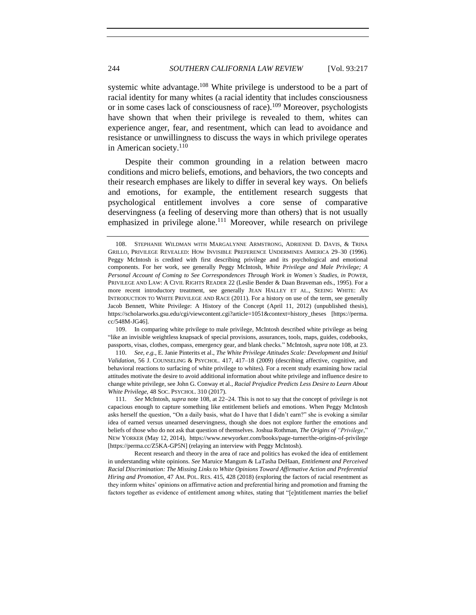<span id="page-27-0"></span>systemic white advantage.<sup>108</sup> White privilege is understood to be a part of racial identity for many whites (a racial identity that includes consciousness or in some cases lack of consciousness of race).<sup>109</sup> Moreover, psychologists have shown that when their privilege is revealed to them, whites can experience anger, fear, and resentment, which can lead to avoidance and resistance or unwillingness to discuss the ways in which privilege operates in American society.<sup>110</sup>

<span id="page-27-1"></span>Despite their common grounding in a relation between macro conditions and micro beliefs, emotions, and behaviors, the two concepts and their research emphases are likely to differ in several key ways. On beliefs and emotions, for example, the entitlement research suggests that psychological entitlement involves a core sense of comparative deservingness (a feeling of deserving more than others) that is not usually emphasized in privilege alone.<sup>111</sup> Moreover, while research on privilege

109. In comparing white privilege to male privilege, McIntosh described white privilege as being "like an invisible weightless knapsack of special provisions, assurances, tools, maps, guides, codebooks, passports, visas, clothes, compass, emergency gear, and blank checks." McIntosh, *supra* not[e 108,](#page-27-0) at 23.

110. *See, e*.*g.*, E. Janie Pinterits et al., *The White Privilege Attitudes Scale: Development and Initial Validation*, 56 J. COUNSELING & PSYCHOL. 417, 417–18 (2009) (describing affective, cognitive, and behavioral reactions to surfacing of white privilege to whites). For a recent study examining how racial attitudes motivate the desire to avoid additional information about white privilege and influence desire to change white privilege, see John G. Conway et al., *Racial Prejudice Predicts Less Desire to Learn About White Privilege*, 48 SOC. PSYCHOL. 310 (2017).

111*. See* McIntosh, *supra* note [108,](#page-27-0) at 22−24. This is not to say that the concept of privilege is not capacious enough to capture something like entitlement beliefs and emotions. When Peggy McIntosh asks herself the question, "On a daily basis, what do I have that I didn't earn?" she is evoking a similar idea of earned versus unearned deservingness, though she does not explore further the emotions and beliefs of those who do not ask that question of themselves. Joshua Rothman, *The Origins of "Privilege*," NEW YORKER (May 12, 2014), https://www.newyorker.com/books/page-turner/the-origins-of-privilege [https://perma.cc/Z5KA-GP5N] (relaying an interview with Peggy McIntosh).

Recent research and theory in the area of race and politics has evoked the idea of entitlement in understanding white opinions. *See* Maruice Mangum & LaTasha DeHaan, *Entitlement and Perceived Racial Discrimination: The Missing Links to White Opinions Toward Affirmative Action and Preferential Hiring and Promotion*, 47 AM. POL. RES. 415, 428 (2018) (exploring the factors of racial resentment as they inform whites' opinions on affirmative action and preferential hiring and promotion and framing the factors together as evidence of entitlement among whites, stating that "[e]ntitlement marries the belief

<sup>108.</sup> STEPHANIE WILDMAN WITH MARGALYNNE ARMSTRONG, ADRIENNE D. DAVIS, & TRINA GRILLO, PRIVILEGE REVEALED: HOW INVISIBLE PREFERENCE UNDERMINES AMERICA 29–30 (1996). Peggy McIntosh is credited with first describing privilege and its psychological and emotional components. For her work, see generally Peggy McIntosh, *White Privilege and Male Privilege; A Personal Account of Coming to See Correspondences Through Work in Women's Studies*, *in* POWER, PRIVILEGE AND LAW: A CIVIL RIGHTS READER 22 (Leslie Bender & Daan Braveman eds., 1995). For a more recent introductory treatment, see generally JEAN HALLEY ET AL., SEEING WHITE: AN INTRODUCTION TO WHITE PRIVILEGE AND RACE (2011). For a history on use of the term, see generally Jacob Bennett, White Privilege: A History of the Concept (April 11, 2012) (unpublished thesis), https://scholarworks.gsu.edu/cgi/viewcontent.cgi?article=1051&context=history\_theses [https://perma. cc/548M-JG46].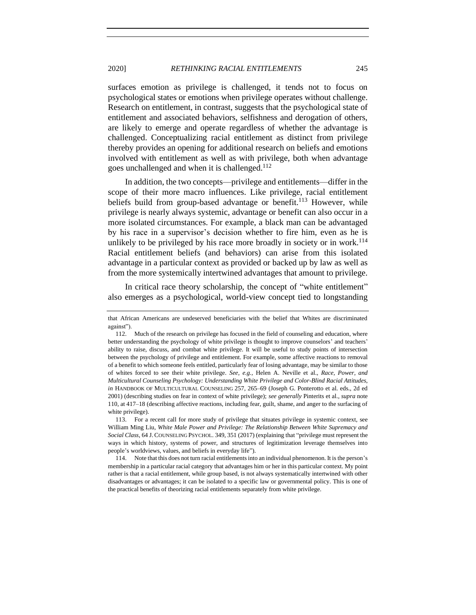surfaces emotion as privilege is challenged, it tends not to focus on psychological states or emotions when privilege operates without challenge. Research on entitlement, in contrast, suggests that the psychological state of entitlement and associated behaviors, selfishness and derogation of others, are likely to emerge and operate regardless of whether the advantage is challenged. Conceptualizing racial entitlement as distinct from privilege thereby provides an opening for additional research on beliefs and emotions involved with entitlement as well as with privilege, both when advantage goes unchallenged and when it is challenged.<sup>112</sup>

In addition, the two concepts—privilege and entitlements—differ in the scope of their more macro influences. Like privilege, racial entitlement beliefs build from group-based advantage or benefit.<sup>113</sup> However, while privilege is nearly always systemic, advantage or benefit can also occur in a more isolated circumstances. For example, a black man can be advantaged by his race in a supervisor's decision whether to fire him, even as he is unlikely to be privileged by his race more broadly in society or in work.<sup>114</sup> Racial entitlement beliefs (and behaviors) can arise from this isolated advantage in a particular context as provided or backed up by law as well as from the more systemically intertwined advantages that amount to privilege.

In critical race theory scholarship, the concept of "white entitlement" also emerges as a psychological, world-view concept tied to longstanding

that African Americans are undeserved beneficiaries with the belief that Whites are discriminated against").

<sup>112.</sup> Much of the research on privilege has focused in the field of counseling and education, where better understanding the psychology of white privilege is thought to improve counselors' and teachers' ability to raise, discuss, and combat white privilege. It will be useful to study points of intersection between the psychology of privilege and entitlement. For example, some affective reactions to removal of a benefit to which someone feels entitled, particularly fear of losing advantage, may be similar to those of whites forced to see their white privilege. *See, e.g.*, Helen A. Neville et al., *Race, Power, and Multicultural Counseling Psychology: Understanding White Privilege and Color-Blind Racial Attitudes*, *in* HANDBOOK OF MULTICULTURAL COUNSELING 257, 265–69 (Joseph G. Ponterotto et al. eds., 2d ed 2001) (describing studies on fear in context of white privilege); *see generally* Pinterits et al., *supra* note [110,](#page-27-1) at 417–18 (describing affective reactions, including fear, guilt, shame, and anger to the surfacing of white privilege).

<sup>113.</sup> For a recent call for more study of privilege that situates privilege in systemic context, see William Ming Liu, *White Male Power and Privilege: The Relationship Between White Supremacy and Social Class*, 64 J. COUNSELING PSYCHOL. 349, 351 (2017) (explaining that "privilege must represent the ways in which history, systems of power, and structures of legitimization leverage themselves into people's worldviews, values, and beliefs in everyday life").

<sup>114.</sup> Note that this does not turn racial entitlements into an individual phenomenon. It is the person's membership in a particular racial category that advantages him or her in this particular context. My point rather is that a racial entitlement, while group based, is not always systematically intertwined with other disadvantages or advantages; it can be isolated to a specific law or governmental policy. This is one of the practical benefits of theorizing racial entitlements separately from white privilege.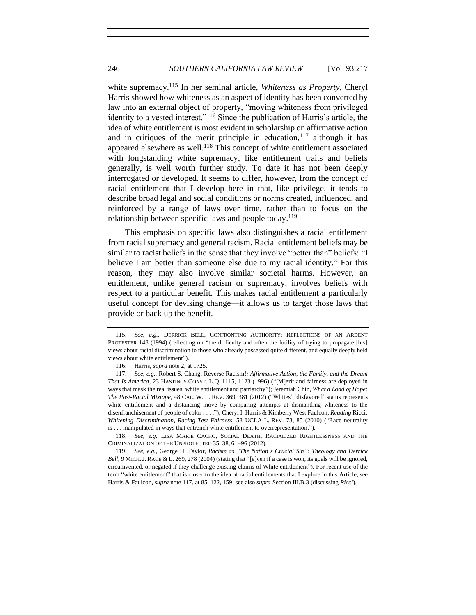<span id="page-29-1"></span><span id="page-29-0"></span>white supremacy.<sup>115</sup> In her seminal article, *Whiteness as Property*, Cheryl Harris showed how whiteness as an aspect of identity has been converted by law into an external object of property, "moving whiteness from privileged identity to a vested interest."<sup>116</sup> Since the publication of Harris's article, the idea of white entitlement is most evident in scholarship on affirmative action and in critiques of the merit principle in education,  $117$  although it has appeared elsewhere as well.<sup>118</sup> This concept of white entitlement associated with longstanding white supremacy, like entitlement traits and beliefs generally, is well worth further study. To date it has not been deeply interrogated or developed. It seems to differ, however, from the concept of racial entitlement that I develop here in that, like privilege, it tends to describe broad legal and social conditions or norms created, influenced, and reinforced by a range of laws over time, rather than to focus on the relationship between specific laws and people today.<sup>119</sup>

This emphasis on specific laws also distinguishes a racial entitlement from racial supremacy and general racism. Racial entitlement beliefs may be similar to racist beliefs in the sense that they involve "better than" beliefs: "I believe I am better than someone else due to my racial identity." For this reason, they may also involve similar societal harms. However, an entitlement, unlike general racism or supremacy, involves beliefs with respect to a particular benefit. This makes racial entitlement a particularly useful concept for devising change—it allows us to target those laws that provide or back up the benefit.

<sup>115.</sup> *See*, *e.g.*, DERRICK BELL, CONFRONTING AUTHORITY: REFLECTIONS OF AN ARDENT PROTESTER 148 (1994) (reflecting on "the difficulty and often the futility of trying to propagate [his] views about racial discrimination to those who already possessed quite different, and equally deeply held views about white entitlement").

<sup>116.</sup> Harris, *supra* not[e 2,](#page-4-0) at 1725.

<sup>117.</sup> *See*, *e.g.*, Robert S. Chang, Reverse Racism!*: Affirmative Action, the Family, and the Dream That Is America*, 23 HASTINGS CONST. L.Q. 1115, 1123 (1996) ("[M]erit and fairness are deployed in ways that mask the real issues, white entitlement and patriarchy"); Jeremiah Chin, *What a Load of Hope: The Post-Racial Mixtape*, 48 CAL. W. L. REV. 369, 381 (2012) ("Whites' 'disfavored' status represents white entitlement and a distancing move by comparing attempts at dismantling whiteness to the disenfranchisement of people of color . . . ."); Cheryl I. Harris & Kimberly West Faulcon, *Reading* Ricci*: Whitening Discrimination, Racing Test Fairness*, 58 UCLA L. REV. 73, 85 (2010) ("Race neutrality is . . . manipulated in ways that entrench white entitlement to overrepresentation.").

<sup>118.</sup> *See*, *e.g.* LISA MARIE CACHO, SOCIAL DEATH, RACIALIZED RIGHTLESSNESS AND THE CRIMINALIZATION OF THE UNPROTECTED 35–38, 61−96 (2012).

<sup>119.</sup> *See*, *e.g.*, George H. Taylor, *Racism as "The Nation's Crucial Sin": Theology and Derrick Bell*, 9 MICH. J. RACE & L. 269, 278 (2004) (stating that "[e]ven if a case is won, its goals will be ignored, circumvented, or negated if they challenge existing claims of White entitlement"). For recent use of the term "white entitlement" that is closer to the idea of racial entitlements that I explore in this Article, see Harris & Faulcon, *supra* not[e 117,](#page-29-0) at 85, 122, 159; see also *supra* Section III.B.3 (discussing *Ricci*).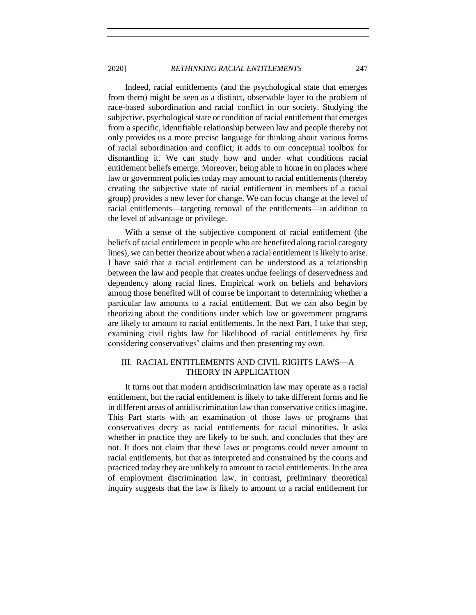Indeed, racial entitlements (and the psychological state that emerges from them) might be seen as a distinct, observable layer to the problem of race-based subordination and racial conflict in our society. Studying the subjective, psychological state or condition of racial entitlement that emerges from a specific, identifiable relationship between law and people thereby not only provides us a more precise language for thinking about various forms of racial subordination and conflict; it adds to our conceptual toolbox for dismantling it. We can study how and under what conditions racial entitlement beliefs emerge. Moreover, being able to home in on places where law or government policies today may amount to racial entitlements (thereby creating the subjective state of racial entitlement in members of a racial group) provides a new lever for change. We can focus change at the level of racial entitlements—targeting removal of the entitlements—in addition to the level of advantage or privilege.

With a sense of the subjective component of racial entitlement (the beliefs of racial entitlement in people who are benefited along racial category lines), we can better theorize about when a racial entitlement is likely to arise. I have said that a racial entitlement can be understood as a relationship between the law and people that creates undue feelings of deservedness and dependency along racial lines. Empirical work on beliefs and behaviors among those benefited will of course be important to determining whether a particular law amounts to a racial entitlement. But we can also begin by theorizing about the conditions under which law or government programs are likely to amount to racial entitlements. In the next Part, I take that step, examining civil rights law for likelihood of racial entitlements by first considering conservatives' claims and then presenting my own.

## <span id="page-30-0"></span>III. RACIAL ENTITLEMENTS AND CIVIL RIGHTS LAWS—A THEORY IN APPLICATION

It turns out that modern antidiscrimination law may operate as a racial entitlement, but the racial entitlement is likely to take different forms and lie in different areas of antidiscrimination law than conservative critics imagine. This Part starts with an examination of those laws or programs that conservatives decry as racial entitlements for racial minorities. It asks whether in practice they are likely to be such, and concludes that they are not. It does not claim that these laws or programs could never amount to racial entitlements, but that as interpreted and constrained by the courts and practiced today they are unlikely to amount to racial entitlements. In the area of employment discrimination law, in contrast, preliminary theoretical inquiry suggests that the law is likely to amount to a racial entitlement for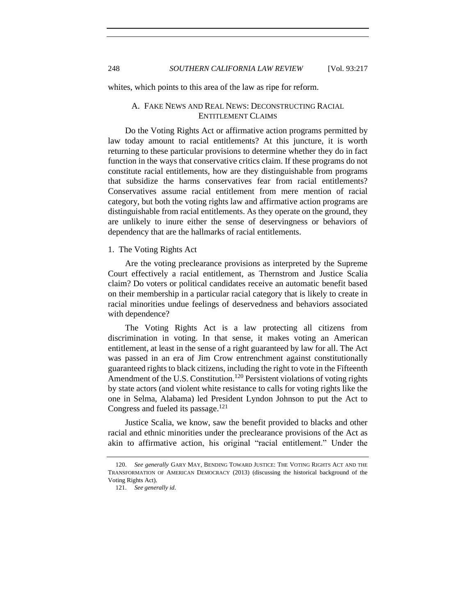<span id="page-31-0"></span>whites, which points to this area of the law as ripe for reform.

## A. FAKE NEWS AND REAL NEWS: DECONSTRUCTING RACIAL ENTITLEMENT CLAIMS

Do the Voting Rights Act or affirmative action programs permitted by law today amount to racial entitlements? At this juncture, it is worth returning to these particular provisions to determine whether they do in fact function in the ways that conservative critics claim. If these programs do not constitute racial entitlements, how are they distinguishable from programs that subsidize the harms conservatives fear from racial entitlements? Conservatives assume racial entitlement from mere mention of racial category, but both the voting rights law and affirmative action programs are distinguishable from racial entitlements. As they operate on the ground, they are unlikely to inure either the sense of deservingness or behaviors of dependency that are the hallmarks of racial entitlements.

#### <span id="page-31-1"></span>1. The Voting Rights Act

Are the voting preclearance provisions as interpreted by the Supreme Court effectively a racial entitlement, as Thernstrom and Justice Scalia claim? Do voters or political candidates receive an automatic benefit based on their membership in a particular racial category that is likely to create in racial minorities undue feelings of deservedness and behaviors associated with dependence?

The Voting Rights Act is a law protecting all citizens from discrimination in voting. In that sense, it makes voting an American entitlement, at least in the sense of a right guaranteed by law for all. The Act was passed in an era of Jim Crow entrenchment against constitutionally guaranteed rights to black citizens, including the right to vote in the Fifteenth Amendment of the U.S. Constitution.<sup>120</sup> Persistent violations of voting rights by state actors (and violent white resistance to calls for voting rights like the one in Selma, Alabama) led President Lyndon Johnson to put the Act to Congress and fueled its passage.<sup>121</sup>

Justice Scalia, we know, saw the benefit provided to blacks and other racial and ethnic minorities under the preclearance provisions of the Act as akin to affirmative action, his original "racial entitlement." Under the

<sup>120.</sup> *See generally* GARY MAY, BENDING TOWARD JUSTICE: THE VOTING RIGHTS ACT AND THE TRANSFORMATION OF AMERICAN DEMOCRACY (2013) (discussing the historical background of the Voting Rights Act).

<sup>121.</sup> *See generally id*.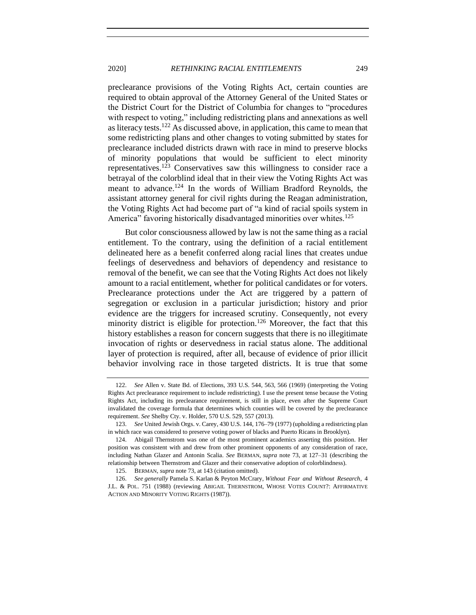preclearance provisions of the Voting Rights Act, certain counties are required to obtain approval of the Attorney General of the United States or the District Court for the District of Columbia for changes to "procedures with respect to voting," including redistricting plans and annexations as well as literacy tests.<sup>122</sup> As discussed above, in application, this came to mean that some redistricting plans and other changes to voting submitted by states for preclearance included districts drawn with race in mind to preserve blocks of minority populations that would be sufficient to elect minority representatives.<sup>123</sup> Conservatives saw this willingness to consider race a betrayal of the colorblind ideal that in their view the Voting Rights Act was meant to advance.<sup>124</sup> In the words of William Bradford Reynolds, the assistant attorney general for civil rights during the Reagan administration, the Voting Rights Act had become part of "a kind of racial spoils system in America" favoring historically disadvantaged minorities over whites.<sup>125</sup>

But color consciousness allowed by law is not the same thing as a racial entitlement. To the contrary, using the definition of a racial entitlement delineated here as a benefit conferred along racial lines that creates undue feelings of deservedness and behaviors of dependency and resistance to removal of the benefit, we can see that the Voting Rights Act does not likely amount to a racial entitlement, whether for political candidates or for voters. Preclearance protections under the Act are triggered by a pattern of segregation or exclusion in a particular jurisdiction; history and prior evidence are the triggers for increased scrutiny. Consequently, not every minority district is eligible for protection.<sup>126</sup> Moreover, the fact that this history establishes a reason for concern suggests that there is no illegitimate invocation of rights or deservedness in racial status alone. The additional layer of protection is required, after all, because of evidence of prior illicit behavior involving race in those targeted districts. It is true that some

<sup>122.</sup> *See* Allen v. State Bd. of Elections, 393 U.S. 544, 563, 566 (1969) (interpreting the Voting Rights Act preclearance requirement to include redistricting). I use the present tense because the Voting Rights Act, including its preclearance requirement, is still in place, even after the Supreme Court invalidated the coverage formula that determines which counties will be covered by the preclearance requirement. *See* Shelby Cty. v. Holder, 570 U.S. 529, 557 (2013).

<sup>123.</sup> *See* United Jewish Orgs. v. Carey, 430 U.S. 144, 176–79 (1977) (upholding a redistricting plan in which race was considered to preserve voting power of blacks and Puerto Ricans in Brooklyn).

<sup>124.</sup> Abigail Thernstrom was one of the most prominent academics asserting this position. Her position was consistent with and drew from other prominent opponents of any consideration of race, including Nathan Glazer and Antonin Scalia. *See* BERMAN, *supra* note [73,](#page-18-1) at 127–31 (describing the relationship between Thernstrom and Glazer and their conservative adoption of colorblindness).

<sup>125.</sup> BERMAN, *supra* note [73,](#page-18-1) at 143 (citation omitted).

<sup>126.</sup> *See generally* Pamela S. Karlan & Peyton McCrary, *Without Fear and Without Research*, 4 J.L. & POL. 751 (1988) (reviewing ABIGAIL THERNSTROM, WHOSE VOTES COUNT?: AFFIRMATIVE ACTION AND MINORITY VOTING RIGHTS (1987)).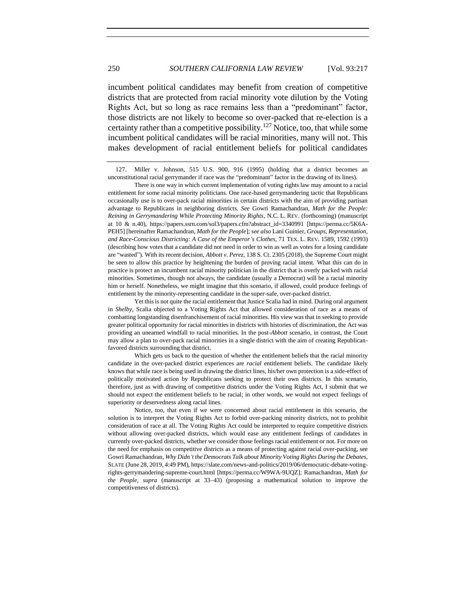incumbent political candidates may benefit from creation of competitive districts that are protected from racial minority vote dilution by the Voting Rights Act, but so long as race remains less than a "predominant" factor, those districts are not likely to become so over-packed that re-election is a certainty rather than a competitive possibility.<sup>127</sup> Notice, too, that while some incumbent political candidates will be racial minorities, many will not. This makes development of racial entitlement beliefs for political candidates

127. Miller v. Johnson, 515 U.S. 900, 916 (1995) (holding that a district becomes an unconstitutional racial gerrymander if race was the "predominant" factor in the drawing of its lines).

There is one way in which current implementation of voting rights law may amount to a racial entitlement for some racial minority politicians. One race-based gerrymandering tactic that Republicans occasionally use is to over-pack racial minorities in certain districts with the aim of providing partisan advantage to Republicans in neighboring districts. *See* Gowri Ramachandran, *Math for the People: Reining in Gerrymandering While Protecting Minority Rights*, N.C. L. REV. (forthcoming) (manuscript at 10 & n.40), https://papers.ssrn.com/sol3/papers.cfm?abstract\_id=3340991 [https://perma.cc/5K6A-PEH5] [hereinafter Ramachandran, *Math for the People*]; *see also* Lani Guinier, *Groups, Representation, and Race-Conscious Districting: A Case of the Emperor's Clothes*, 71 TEX. L. REV. 1589, 1592 (1993) (describing how votes that a candidate did not need in order to win as well as votes for a losing candidate are "wasted"). With its recent decision, *Abbott v. Perez*, 138 S. Ct. 2305 (2018), the Supreme Court might be seen to allow this practice by heightening the burden of proving racial intent. What this can do in practice is protect an incumbent racial minority politician in the district that is overly packed with racial minorities. Sometimes, though not always, the candidate (usually a Democrat) will be a racial minority him or herself. Nonetheless, we might imagine that this scenario, if allowed, could produce feelings of entitlement by the minority-representing candidate in the super-safe, over-packed district.

Notice, too, that even if we were concerned about racial entitlement in this scenario, the solution is to interpret the Voting Rights Act to forbid over-packing minority districts, not to prohibit consideration of race at all. The Voting Rights Act could be interpreted to require competitive districts without allowing over-packed districts, which would ease any entitlement feelings of candidates in currently over-packed districts, whether we consider those feelings racial entitlement or not. For more on the need for emphasis on competitive districts as a means of protecting against racial over-packing, see Gowri Ramachandran, *Why Didn't the Democrats Talk about Minority Voting Rights During the Debates*, SLATE (June 28, 2019, 4:49 PM), https://slate.com/news-and-politics/2019/06/democratic-debate-votingrights-gerrymandering-supreme-court.html [https://perma.cc/W9WA-9UQZ]; Ramachandran, *Math for the People*, *supra* (manuscript at 33−43) (proposing a mathematical solution to improve the competitiveness of districts).

Yet this is not quite the racial entitlement that Justice Scalia had in mind. During oral argument in *Shelby*, Scalia objected to a Voting Rights Act that allowed consideration of race as a means of combatting longstanding disenfranchisement of racial minorities. His view was that in seeking to provide greater political opportunity for racial minorities in districts with histories of discrimination, the Act was providing an unearned windfall to racial minorities. In the post-*Abbott* scenario, in contrast, the Court may allow a plan to over-pack racial minorities in a single district with the aim of creating Republicanfavored districts surrounding that district.

Which gets us back to the question of whether the entitlement beliefs that the racial minority candidate in the over-packed district experiences are *racial* entitlement beliefs. The candidate likely knows that while race is being used in drawing the district lines, his/her own protection is a side-effect of politically motivated action by Republicans seeking to protect their own districts. In this scenario, therefore, just as with drawing of competitive districts under the Voting Rights Act, I submit that we should not expect the entitlement beliefs to be racial; in other words, we would not expect feelings of superiority or deservedness along racial lines.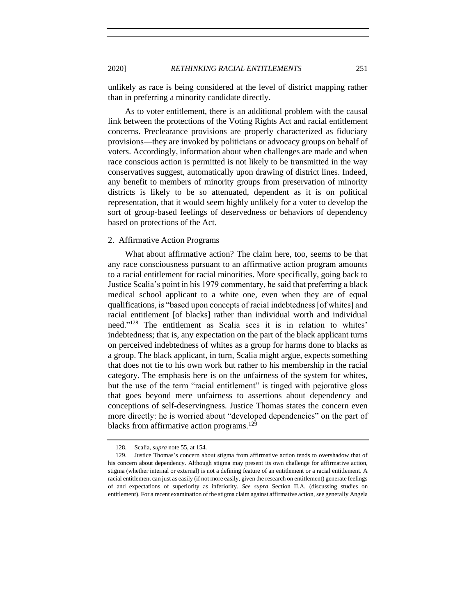unlikely as race is being considered at the level of district mapping rather than in preferring a minority candidate directly.

As to voter entitlement, there is an additional problem with the causal link between the protections of the Voting Rights Act and racial entitlement concerns. Preclearance provisions are properly characterized as fiduciary provisions—they are invoked by politicians or advocacy groups on behalf of voters. Accordingly, information about when challenges are made and when race conscious action is permitted is not likely to be transmitted in the way conservatives suggest, automatically upon drawing of district lines. Indeed, any benefit to members of minority groups from preservation of minority districts is likely to be so attenuated, dependent as it is on political representation, that it would seem highly unlikely for a voter to develop the sort of group-based feelings of deservedness or behaviors of dependency based on protections of the Act.

#### <span id="page-34-0"></span>2. Affirmative Action Programs

What about affirmative action? The claim here, too, seems to be that any race consciousness pursuant to an affirmative action program amounts to a racial entitlement for racial minorities. More specifically, going back to Justice Scalia's point in his 1979 commentary, he said that preferring a black medical school applicant to a white one, even when they are of equal qualifications, is "based upon concepts of racial indebtedness [of whites] and racial entitlement [of blacks] rather than individual worth and individual need." <sup>128</sup> The entitlement as Scalia sees it is in relation to whites' indebtedness; that is, any expectation on the part of the black applicant turns on perceived indebtedness of whites as a group for harms done to blacks as a group. The black applicant, in turn, Scalia might argue, expects something that does not tie to his own work but rather to his membership in the racial category. The emphasis here is on the unfairness of the system for whites, but the use of the term "racial entitlement" is tinged with pejorative gloss that goes beyond mere unfairness to assertions about dependency and conceptions of self-deservingness. Justice Thomas states the concern even more directly: he is worried about "developed dependencies" on the part of blacks from affirmative action programs.<sup>129</sup>

<sup>128.</sup> Scalia, *supra* not[e 55,](#page-16-0) at 154.

<sup>129.</sup> Justice Thomas's concern about stigma from affirmative action tends to overshadow that of his concern about dependency. Although stigma may present its own challenge for affirmative action, stigma (whether internal or external) is not a defining feature of an entitlement or a racial entitlement. A racial entitlement can just as easily (if not more easily, given the research on entitlement) generate feelings of and expectations of superiority as inferiority. *See supra* Section II.A. (discussing studies on entitlement). For a recent examination of the stigma claim against affirmative action, see generally Angela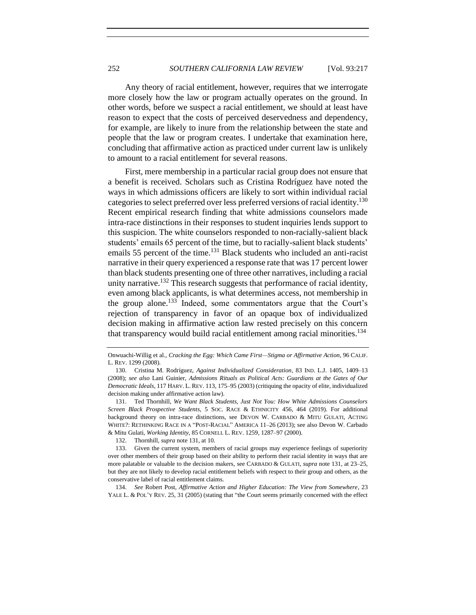Any theory of racial entitlement, however, requires that we interrogate more closely how the law or program actually operates on the ground. In other words, before we suspect a racial entitlement, we should at least have reason to expect that the costs of perceived deservedness and dependency, for example, are likely to inure from the relationship between the state and people that the law or program creates. I undertake that examination here, concluding that affirmative action as practiced under current law is unlikely to amount to a racial entitlement for several reasons.

<span id="page-35-0"></span>First, mere membership in a particular racial group does not ensure that a benefit is received. Scholars such as Cristina Rodríguez have noted the ways in which admissions officers are likely to sort within individual racial categories to select preferred over less preferred versions of racial identity.<sup>130</sup> Recent empirical research finding that white admissions counselors made intra-race distinctions in their responses to student inquiries lends support to this suspicion. The white counselors responded to non-racially-salient black students' emails 65 percent of the time, but to racially-salient black students' emails 55 percent of the time.<sup>131</sup> Black students who included an anti-racist narrative in their query experienced a response rate that was 17 percent lower than black students presenting one of three other narratives, including a racial unity narrative.<sup>132</sup> This research suggests that performance of racial identity, even among black applicants, is what determines access, not membership in the group alone.<sup>133</sup> Indeed, some commentators argue that the Court's rejection of transparency in favor of an opaque box of individualized decision making in affirmative action law rested precisely on this concern that transparency would build racial entitlement among racial minorities.<sup>134</sup>

134. *See* Robert Post, *Affirmative Action and Higher Education: The View from Somewhere*, 23 YALE L. & POL'Y REV. 25, 31 (2005) (stating that "the Court seems primarily concerned with the effect

Onwuachi-Willig et al., *Cracking the Egg: Which Came First—Stigma or Affirmative Action*, 96 CALIF. L. REV. 1299 (2008).

<sup>130.</sup> Cristina M. Rodríguez, *Against Individualized Consideration*, 83 IND. L.J. 1405, 1409–13 (2008); *see also* Lani Guinier, *Admissions Rituals as Political Acts: Guardians at the Gates of Our Democratic Ideals*, 117 HARV. L. REV. 113, 175–95 (2003) (critiquing the opacity of elite, individualized decision making under affirmative action law).

<sup>131.</sup> Ted Thornhill, *We Want Black Students, Just Not You: How White Admissions Counselors Screen Black Prospective Students*, 5 SOC. RACE & ETHNICITY 456, 464 (2019). For additional background theory on intra-race distinctions, see DEVON W. CARBADO & MITU GULATI, ACTING WHITE?: RETHINKING RACE IN A "POST-RACIAL" AMERICA 11–26 (2013); see also Devon W. Carbado & Mitu Gulati, *Working Identity*, 85 CORNELL L. REV. 1259, 1287–97 (2000).

<sup>132.</sup> Thornhill, *supra* not[e 131,](#page-35-0) at 10.

<sup>133.</sup> Given the current system, members of racial groups may experience feelings of superiority over other members of their group based on their ability to perform their racial identity in ways that are more palatable or valuable to the decision makers, see CARBADO & GULATI, *supra* not[e 131,](#page-35-0) at 23–25, but they are not likely to develop racial entitlement beliefs with respect to their group and others, as the conservative label of racial entitlement claims.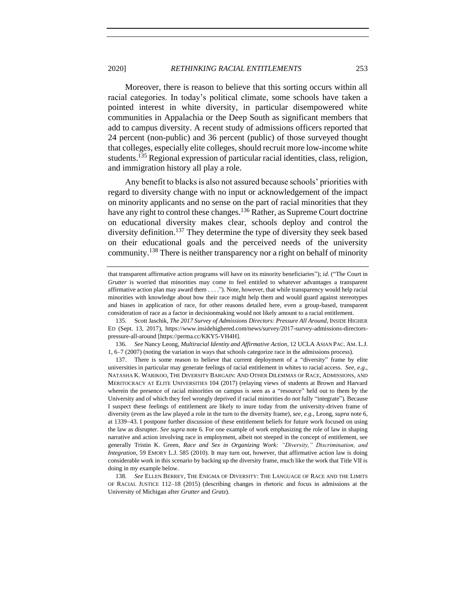Moreover, there is reason to believe that this sorting occurs within all racial categories. In today's political climate, some schools have taken a pointed interest in white diversity, in particular disempowered white communities in Appalachia or the Deep South as significant members that add to campus diversity. A recent study of admissions officers reported that 24 percent (non-public) and 36 percent (public) of those surveyed thought that colleges, especially elite colleges, should recruit more low-income white students.<sup>135</sup> Regional expression of particular racial identities, class, religion, and immigration history all play a role.

Any benefit to blacks is also not assured because schools' priorities with regard to diversity change with no input or acknowledgement of the impact on minority applicants and no sense on the part of racial minorities that they have any right to control these changes.<sup>136</sup> Rather, as Supreme Court doctrine on educational diversity makes clear, schools deploy and control the diversity definition.<sup>137</sup> They determine the type of diversity they seek based on their educational goals and the perceived needs of the university community.<sup>138</sup> There is neither transparency nor a right on behalf of minority

that transparent affirmative action programs will have on its minority beneficiaries"); *id*. ("The Court in *Grutter* is worried that minorities may come to feel entitled to whatever advantages a transparent affirmative action plan may award them . . . ."). Note, however, that while transparency would help racial minorities with knowledge about how their race might help them and would guard against stereotypes and biases in application of race, for other reasons detailed here, even a group-based, transparent consideration of race as a factor in decisionmaking would not likely amount to a racial entitlement.

<sup>135.</sup> Scott Jaschik, *The 2017 Survey of Admissions Directors: Pressure All Around*, INSIDE HIGHER ED (Sept. 13, 2017), https://www.insidehighered.com/news/survey/2017-survey-admissions-directorspressure-all-around [https://perma.cc/KKY5-VH4H].

<sup>136.</sup> *See* Nancy Leong, *Multiracial Identity and Affirmative Action*, 12 UCLA ASIAN PAC. AM. L.J. 1, 6–7 (2007) (noting the variation in ways that schools categorize race in the admissions process).

<sup>137.</sup> There is some reason to believe that current deployment of a "diversity" frame by elite universities in particular may generate feelings of racial entitlement in whites to racial access. *See*, *e.g.*, NATASHA K. WARIKOO, THE DIVERSITY BARGAIN: AND OTHER DILEMMAS OF RACE, ADMISSIONS, AND MERITOCRACY AT ELITE UNIVERSITIES 104 (2017) (relaying views of students at Brown and Harvard wherein the presence of racial minorities on campus is seen as a "resource" held out to them by the University and of which they feel wrongly deprived if racial minorities do not fully "integrate"). Because I suspect these feelings of entitlement are likely to inure today from the university-driven frame of diversity (even as the law played a role in the turn to the diversity frame), *see, e.g.*, Leong, *supra* not[e 6,](#page-5-0) at 1339−43. I postpone further discussion of these entitlement beliefs for future work focused on using the law as disrupter. *See supra* note [6.](#page-5-0) For one example of work emphasizing the role of law in shaping narrative and action involving race in employment, albeit not steeped in the concept of entitlement, see generally Tristin K. Green, *Race and Sex in Organizing Work: "Diversity," Discrimination, and Integration*, 59 EMORY L.J. 585 (2010). It may turn out, however, that affirmative action law is doing considerable work in this scenario by backing up the diversity frame, much like the work that Title VII is doing in my example below.

<sup>138</sup>*. See* ELLEN BERREY, THE ENIGMA OF DIVERSITY: THE LANGUAGE OF RACE AND THE LIMITS OF RACIAL JUSTICE 112–18 (2015) (describing changes in rhetoric and focus in admissions at the University of Michigan after *Grutter* and *Gratz*).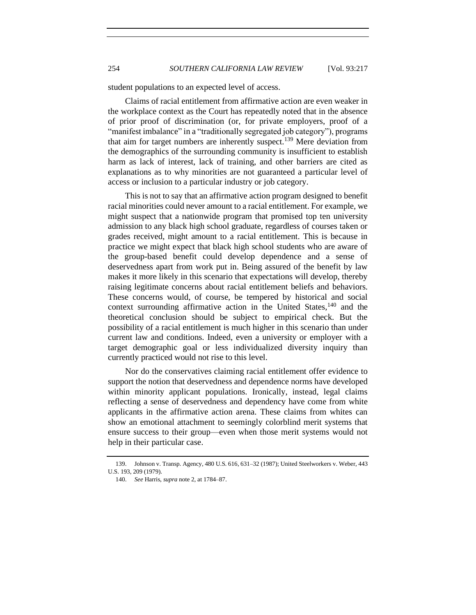student populations to an expected level of access.

Claims of racial entitlement from affirmative action are even weaker in the workplace context as the Court has repeatedly noted that in the absence of prior proof of discrimination (or, for private employers, proof of a "manifest imbalance" in a "traditionally segregated job category"), programs that aim for target numbers are inherently suspect.<sup>139</sup> Mere deviation from the demographics of the surrounding community is insufficient to establish harm as lack of interest, lack of training, and other barriers are cited as explanations as to why minorities are not guaranteed a particular level of access or inclusion to a particular industry or job category.

This is not to say that an affirmative action program designed to benefit racial minorities could never amount to a racial entitlement. For example, we might suspect that a nationwide program that promised top ten university admission to any black high school graduate, regardless of courses taken or grades received, might amount to a racial entitlement. This is because in practice we might expect that black high school students who are aware of the group-based benefit could develop dependence and a sense of deservedness apart from work put in. Being assured of the benefit by law makes it more likely in this scenario that expectations will develop, thereby raising legitimate concerns about racial entitlement beliefs and behaviors. These concerns would, of course, be tempered by historical and social context surrounding affirmative action in the United States,  $140$  and the theoretical conclusion should be subject to empirical check. But the possibility of a racial entitlement is much higher in this scenario than under current law and conditions. Indeed, even a university or employer with a target demographic goal or less individualized diversity inquiry than currently practiced would not rise to this level.

Nor do the conservatives claiming racial entitlement offer evidence to support the notion that deservedness and dependence norms have developed within minority applicant populations. Ironically, instead, legal claims reflecting a sense of deservedness and dependency have come from white applicants in the affirmative action arena. These claims from whites can show an emotional attachment to seemingly colorblind merit systems that ensure success to their group—even when those merit systems would not help in their particular case.

<sup>139.</sup> Johnson v. Transp. Agency, 480 U.S. 616, 631–32 (1987); United Steelworkers v. Weber, 443 U.S. 193, 209 (1979).

<sup>140.</sup> *See* Harris, *supra* not[e 2,](#page-4-0) at 1784–87.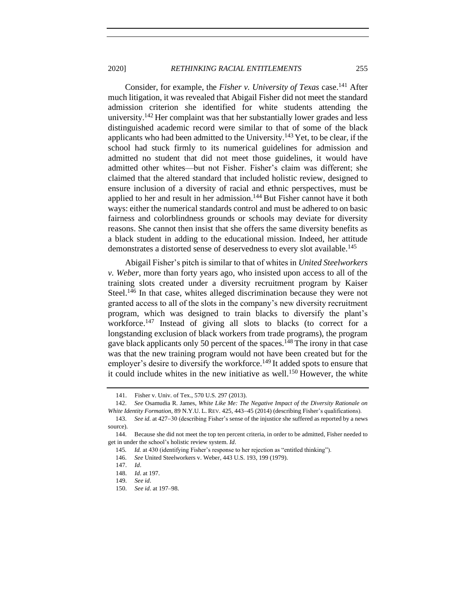Consider, for example, the *Fisher v. University of Texas* case.<sup>141</sup> After much litigation, it was revealed that Abigail Fisher did not meet the standard admission criterion she identified for white students attending the university.<sup>142</sup> Her complaint was that her substantially lower grades and less distinguished academic record were similar to that of some of the black applicants who had been admitted to the University.<sup>143</sup> Yet, to be clear, if the school had stuck firmly to its numerical guidelines for admission and admitted no student that did not meet those guidelines, it would have admitted other whites—but not Fisher. Fisher's claim was different; she claimed that the altered standard that included holistic review, designed to ensure inclusion of a diversity of racial and ethnic perspectives, must be applied to her and result in her admission.<sup>144</sup> But Fisher cannot have it both ways: either the numerical standards control and must be adhered to on basic fairness and colorblindness grounds or schools may deviate for diversity reasons. She cannot then insist that she offers the same diversity benefits as a black student in adding to the educational mission. Indeed, her attitude demonstrates a distorted sense of deservedness to every slot available.<sup>145</sup>

Abigail Fisher's pitch is similar to that of whites in *United Steelworkers v. Weber*, more than forty years ago, who insisted upon access to all of the training slots created under a diversity recruitment program by Kaiser Steel.<sup>146</sup> In that case, whites alleged discrimination because they were not granted access to all of the slots in the company's new diversity recruitment program, which was designed to train blacks to diversify the plant's workforce.<sup>147</sup> Instead of giving all slots to blacks (to correct for a longstanding exclusion of black workers from trade programs), the program gave black applicants only 50 percent of the spaces.<sup>148</sup> The irony in that case was that the new training program would not have been created but for the employer's desire to diversify the workforce.<sup>149</sup> It added spots to ensure that it could include whites in the new initiative as well.<sup>150</sup> However, the white

 <sup>141.</sup> Fisher v. Univ. of Tex., 570 U.S. 297 (2013).

<sup>142.</sup> *See* Osamudia R. James, *White Like Me: The Negative Impact of the Diversity Rationale on White Identity Formation*, 89 N.Y.U. L. REV. 425, 443−45 (2014) (describing Fisher's qualifications).

<sup>143.</sup> *See id.* at 427−30 (describing Fisher's sense of the injustice she suffered as reported by a news source).

<sup>144.</sup> Because she did not meet the top ten percent criteria, in order to be admitted, Fisher needed to get in under the school's holistic review system. *Id*.

<sup>145</sup>*. Id.* at 430 (identifying Fisher's response to her rejection as "entitled thinking").

146. *See* United Steelworkers v. Weber, 443 U.S. 193, 199 (1979).

 <sup>147.</sup> *Id*.

 <sup>148.</sup> *Id*. at 197.

 <sup>149.</sup> *See id*.

 <sup>150.</sup> *See id*. at 197–98.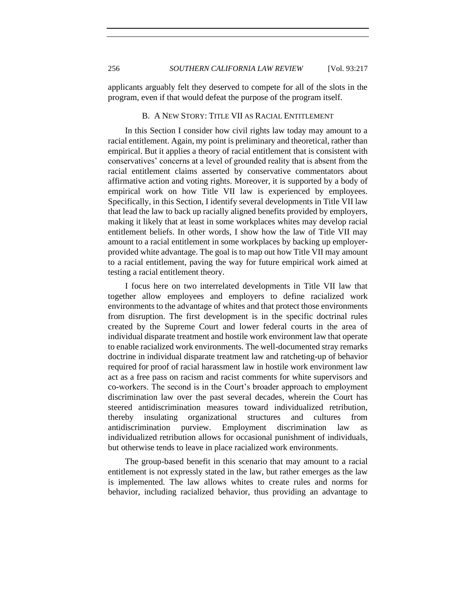<span id="page-39-0"></span>applicants arguably felt they deserved to compete for all of the slots in the program, even if that would defeat the purpose of the program itself.

#### B. A NEW STORY: TITLE VII AS RACIAL ENTITLEMENT

In this Section I consider how civil rights law today may amount to a racial entitlement. Again, my point is preliminary and theoretical, rather than empirical. But it applies a theory of racial entitlement that is consistent with conservatives' concerns at a level of grounded reality that is absent from the racial entitlement claims asserted by conservative commentators about affirmative action and voting rights. Moreover, it is supported by a body of empirical work on how Title VII law is experienced by employees. Specifically, in this Section, I identify several developments in Title VII law that lead the law to back up racially aligned benefits provided by employers, making it likely that at least in some workplaces whites may develop racial entitlement beliefs. In other words, I show how the law of Title VII may amount to a racial entitlement in some workplaces by backing up employerprovided white advantage. The goal is to map out how Title VII may amount to a racial entitlement, paving the way for future empirical work aimed at testing a racial entitlement theory.

I focus here on two interrelated developments in Title VII law that together allow employees and employers to define racialized work environments to the advantage of whites and that protect those environments from disruption. The first development is in the specific doctrinal rules created by the Supreme Court and lower federal courts in the area of individual disparate treatment and hostile work environment law that operate to enable racialized work environments. The well-documented stray remarks doctrine in individual disparate treatment law and ratcheting-up of behavior required for proof of racial harassment law in hostile work environment law act as a free pass on racism and racist comments for white supervisors and co-workers. The second is in the Court's broader approach to employment discrimination law over the past several decades, wherein the Court has steered antidiscrimination measures toward individualized retribution, thereby insulating organizational structures and cultures from antidiscrimination purview. Employment discrimination law as individualized retribution allows for occasional punishment of individuals, but otherwise tends to leave in place racialized work environments.

The group-based benefit in this scenario that may amount to a racial entitlement is not expressly stated in the law, but rather emerges as the law is implemented. The law allows whites to create rules and norms for behavior, including racialized behavior, thus providing an advantage to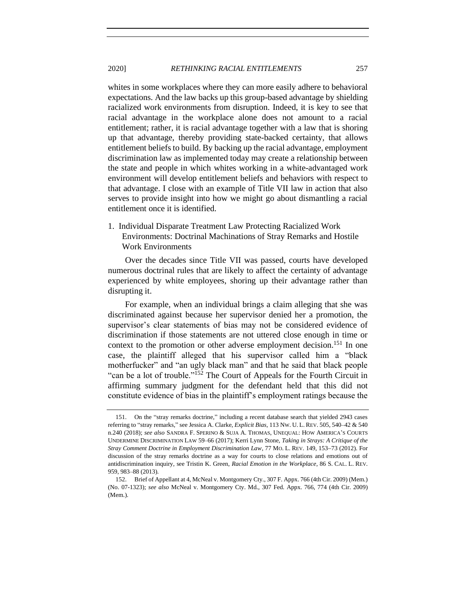whites in some workplaces where they can more easily adhere to behavioral expectations. And the law backs up this group-based advantage by shielding racialized work environments from disruption. Indeed, it is key to see that racial advantage in the workplace alone does not amount to a racial entitlement; rather, it is racial advantage together with a law that is shoring up that advantage, thereby providing state-backed certainty, that allows entitlement beliefs to build. By backing up the racial advantage, employment discrimination law as implemented today may create a relationship between the state and people in which whites working in a white-advantaged work environment will develop entitlement beliefs and behaviors with respect to that advantage. I close with an example of Title VII law in action that also serves to provide insight into how we might go about dismantling a racial entitlement once it is identified.

<span id="page-40-0"></span>1. Individual Disparate Treatment Law Protecting Racialized Work Environments: Doctrinal Machinations of Stray Remarks and Hostile Work Environments

Over the decades since Title VII was passed, courts have developed numerous doctrinal rules that are likely to affect the certainty of advantage experienced by white employees, shoring up their advantage rather than disrupting it.

<span id="page-40-1"></span>For example, when an individual brings a claim alleging that she was discriminated against because her supervisor denied her a promotion, the supervisor's clear statements of bias may not be considered evidence of discrimination if those statements are not uttered close enough in time or context to the promotion or other adverse employment decision.<sup>151</sup> In one case, the plaintiff alleged that his supervisor called him a "black motherfucker" and "an ugly black man" and that he said that black people "can be a lot of trouble."<sup>152</sup> The Court of Appeals for the Fourth Circuit in affirming summary judgment for the defendant held that this did not constitute evidence of bias in the plaintiff's employment ratings because the

<sup>151.</sup> On the "stray remarks doctrine," including a recent database search that yielded 2943 cases referring to "stray remarks," see Jessica A. Clarke, *Explicit Bias*, 113 NW. U. L. REV. 505, 540–42 & 540 n.240 (2018); *see also* SANDRA F. SPERINO & SUJA A. THOMAS, UNEQUAL: HOW AMERICA'S COURTS UNDERMINE DISCRIMINATION LAW 59–66 (2017); Kerri Lynn Stone, *Taking in Strays: A Critique of the Stray Comment Doctrine in Employment Discrimination Law*, 77 MO. L. REV. 149, 153−73 (2012). For discussion of the stray remarks doctrine as a way for courts to close relations and emotions out of antidiscrimination inquiry, see Tristin K. Green, *Racial Emotion in the Workplace*, 86 S. CAL. L. REV. 959, 983–88 (2013).

<sup>152.</sup> Brief of Appellant at 4, McNeal v. Montgomery Cty., 307 F. Appx. 766 (4th Cir. 2009) (Mem.) (No. 07-1323); *see also* McNeal v. Montgomery Cty. Md., 307 Fed. Appx. 766, 774 (4th Cir. 2009) (Mem.).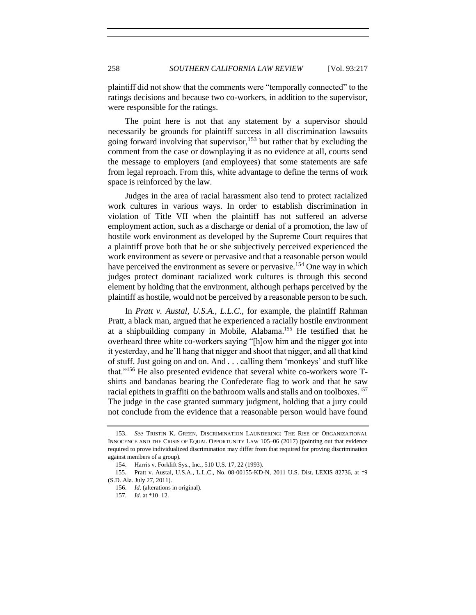plaintiff did not show that the comments were "temporally connected" to the ratings decisions and because two co-workers, in addition to the supervisor, were responsible for the ratings.

<span id="page-41-0"></span>The point here is not that any statement by a supervisor should necessarily be grounds for plaintiff success in all discrimination lawsuits going forward involving that supervisor,  $153$  but rather that by excluding the comment from the case or downplaying it as no evidence at all, courts send the message to employers (and employees) that some statements are safe from legal reproach. From this, white advantage to define the terms of work space is reinforced by the law.

Judges in the area of racial harassment also tend to protect racialized work cultures in various ways. In order to establish discrimination in violation of Title VII when the plaintiff has not suffered an adverse employment action, such as a discharge or denial of a promotion, the law of hostile work environment as developed by the Supreme Court requires that a plaintiff prove both that he or she subjectively perceived experienced the work environment as severe or pervasive and that a reasonable person would have perceived the environment as severe or pervasive.<sup>154</sup> One way in which judges protect dominant racialized work cultures is through this second element by holding that the environment, although perhaps perceived by the plaintiff as hostile, would not be perceived by a reasonable person to be such.

In *Pratt v. Austal, U.S.A., L.L.C*., for example, the plaintiff Rahman Pratt, a black man, argued that he experienced a racially hostile environment at a shipbuilding company in Mobile, Alabama.<sup>155</sup> He testified that he overheard three white co-workers saying "[h]ow him and the nigger got into it yesterday, and he'll hang that nigger and shoot that nigger, and all that kind of stuff. Just going on and on. And . . . calling them 'monkeys' and stuff like that."<sup>156</sup> He also presented evidence that several white co-workers wore Tshirts and bandanas bearing the Confederate flag to work and that he saw racial epithets in graffiti on the bathroom walls and stalls and on toolboxes.<sup>157</sup> The judge in the case granted summary judgment, holding that a jury could not conclude from the evidence that a reasonable person would have found

<sup>153.</sup> *See* TRISTIN K. GREEN, DISCRIMINATION LAUNDERING: THE RISE OF ORGANIZATIONAL INNOCENCE AND THE CRISIS OF EQUAL OPPORTUNITY LAW 105–06 (2017) (pointing out that evidence required to prove individualized discrimination may differ from that required for proving discrimination against members of a group).

<sup>154.</sup> Harris v. Forklift Sys., Inc., 510 U.S. 17, 22 (1993).

<sup>155</sup>. Pratt v. Austal, U.S.A., L.L.C., No. 08-00155-KD-N, 2011 U.S. Dist. LEXIS 82736, at \*9 (S.D. Ala. July 27, 2011).

<sup>156.</sup> *Id*. (alterations in original).

<sup>157.</sup> *Id.* at \*10–12.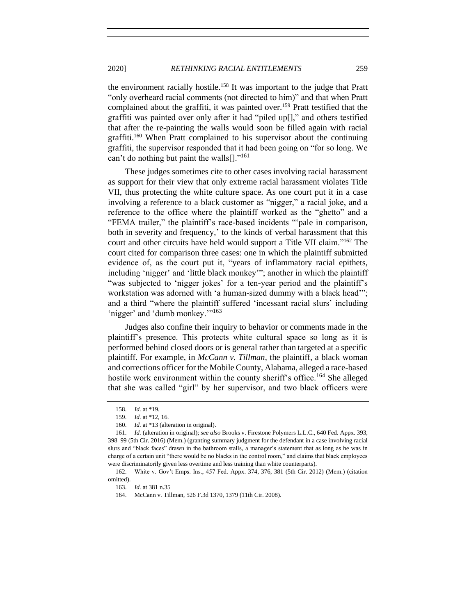the environment racially hostile.<sup>158</sup> It was important to the judge that Pratt "only overheard racial comments (not directed to him)" and that when Pratt complained about the graffiti, it was painted over.<sup>159</sup> Pratt testified that the graffiti was painted over only after it had "piled up[]," and others testified that after the re-painting the walls would soon be filled again with racial graffiti.<sup>160</sup> When Pratt complained to his supervisor about the continuing graffiti, the supervisor responded that it had been going on "for so long. We can't do nothing but paint the walls $[]$ ."<sup>161</sup>

These judges sometimes cite to other cases involving racial harassment as support for their view that only extreme racial harassment violates Title VII, thus protecting the white culture space. As one court put it in a case involving a reference to a black customer as "nigger," a racial joke, and a reference to the office where the plaintiff worked as the "ghetto" and a "FEMA trailer," the plaintiff's race-based incidents "'pale in comparison, both in severity and frequency,' to the kinds of verbal harassment that this court and other circuits have held would support a Title VII claim."<sup>162</sup> The court cited for comparison three cases: one in which the plaintiff submitted evidence of, as the court put it, "years of inflammatory racial epithets, including 'nigger' and 'little black monkey'"; another in which the plaintiff "was subjected to 'nigger jokes' for a ten-year period and the plaintiff's workstation was adorned with 'a human-sized dummy with a black head'"; and a third "where the plaintiff suffered 'incessant racial slurs' including 'nigger' and 'dumb monkey.'"<sup>163</sup>

Judges also confine their inquiry to behavior or comments made in the plaintiff's presence. This protects white cultural space so long as it is performed behind closed doors or is general rather than targeted at a specific plaintiff. For example, in *McCann v. Tillman*, the plaintiff, a black woman and corrections officer for the Mobile County, Alabama, alleged a race-based hostile work environment within the county sheriff's office.<sup>164</sup> She alleged that she was called "girl" by her supervisor, and two black officers were

<sup>158.</sup> *Id.* at \*19.

<sup>159.</sup> *Id.* at \*12, 16.

<sup>160.</sup> *Id.* at \*13 (alteration in original).

<sup>161.</sup> *Id.* (alteration in original); *see also* Brooks v. Firestone Polymers L.L.C., 640 Fed. Appx. 393, 398–99 (5th Cir. 2016) (Mem.) (granting summary judgment for the defendant in a case involving racial slurs and "black faces" drawn in the bathroom stalls, a manager's statement that as long as he was in charge of a certain unit "there would be no blacks in the control room," and claims that black employees were discriminatorily given less overtime and less training than white counterparts).

<sup>162.</sup> White v. Gov't Emps. Ins., 457 Fed. Appx. 374, 376, 381 (5th Cir. 2012) (Mem.) (citation omitted).

<sup>163.</sup> *Id.* at 381 n.35

<sup>164.</sup> McCann v. Tillman, 526 F.3d 1370, 1379 (11th Cir. 2008).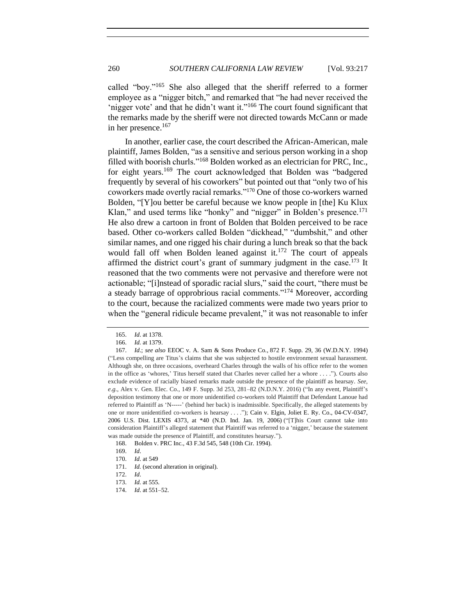called "boy."<sup>165</sup> She also alleged that the sheriff referred to a former employee as a "nigger bitch," and remarked that "he had never received the 'nigger vote' and that he didn't want it."<sup>166</sup> The court found significant that the remarks made by the sheriff were not directed towards McCann or made in her presence.<sup>167</sup>

In another, earlier case, the court described the African-American, male plaintiff, James Bolden, "as a sensitive and serious person working in a shop filled with boorish churls."<sup>168</sup> Bolden worked as an electrician for PRC, Inc., for eight years.<sup>169</sup> The court acknowledged that Bolden was "badgered frequently by several of his coworkers" but pointed out that "only two of his coworkers made overtly racial remarks."<sup>170</sup> One of those co-workers warned Bolden, "[Y]ou better be careful because we know people in [the] Ku Klux Klan," and used terms like "honky" and "nigger" in Bolden's presence.<sup>171</sup> He also drew a cartoon in front of Bolden that Bolden perceived to be race based. Other co-workers called Bolden "dickhead," "dumbshit," and other similar names, and one rigged his chair during a lunch break so that the back would fall off when Bolden leaned against it.<sup>172</sup> The court of appeals affirmed the district court's grant of summary judgment in the case.<sup>173</sup> It reasoned that the two comments were not pervasive and therefore were not actionable; "[i]nstead of sporadic racial slurs," said the court, "there must be a steady barrage of opprobrious racial comments."<sup>174</sup> Moreover, according to the court, because the racialized comments were made two years prior to when the "general ridicule became prevalent," it was not reasonable to infer

<sup>165.</sup> *Id*. at 1378.

<sup>166.</sup> *Id.* at 1379.

<sup>167.</sup> *Id*.; *see also* EEOC v. A. Sam & Sons Produce Co., 872 F. Supp. 29, 36 (W.D.N.Y. 1994) ("Less compelling are Titus's claims that she was subjected to hostile environment sexual harassment. Although she, on three occasions, overheard Charles through the walls of his office refer to the women in the office as 'whores,' Titus herself stated that Charles never called her a whore . . . ."). Courts also exclude evidence of racially biased remarks made outside the presence of the plaintiff as hearsay. *See*, *e*.*g*., Alex v. Gen. Elec. Co., 149 F. Supp. 3d 253, 281–82 (N.D.N.Y. 2016) ("In any event, Plaintiff's deposition testimony that one or more unidentified co-workers told Plaintiff that Defendant Lanoue had referred to Plaintiff as 'N-----' (behind her back) is inadmissible. Specifically, the alleged statements by one or more unidentified co-workers is hearsay . . . ."); Cain v. Elgin, Joliet E. Ry. Co., 04-CV-0347, 2006 U.S. Dist. LEXIS 4373, at \*40 (N.D. Ind. Jan. 19, 2006) ("[T]his Court cannot take into consideration Plaintiff's alleged statement that Plaintiff was referred to a 'nigger,' because the statement was made outside the presence of Plaintiff, and constitutes hearsay.").

<sup>168.</sup> Bolden v. PRC Inc., 43 F.3d 545, 548 (10th Cir. 1994).

<sup>169.</sup> *Id*.

<sup>170.</sup> *Id*. at 549

<sup>171.</sup> *Id.* (second alteration in original).

<sup>172.</sup> *Id*.

<sup>173.</sup> *Id.* at 555.

<sup>174.</sup> *Id*. at 551–52.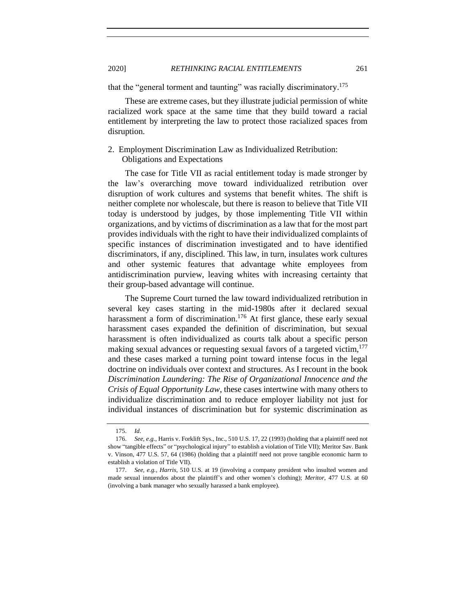that the "general torment and taunting" was racially discriminatory.<sup>175</sup>

These are extreme cases, but they illustrate judicial permission of white racialized work space at the same time that they build toward a racial entitlement by interpreting the law to protect those racialized spaces from disruption.

# <span id="page-44-0"></span>2. Employment Discrimination Law as Individualized Retribution: Obligations and Expectations

The case for Title VII as racial entitlement today is made stronger by the law's overarching move toward individualized retribution over disruption of work cultures and systems that benefit whites. The shift is neither complete nor wholescale, but there is reason to believe that Title VII today is understood by judges, by those implementing Title VII within organizations, and by victims of discrimination as a law that for the most part provides individuals with the right to have their individualized complaints of specific instances of discrimination investigated and to have identified discriminators, if any, disciplined. This law, in turn, insulates work cultures and other systemic features that advantage white employees from antidiscrimination purview, leaving whites with increasing certainty that their group-based advantage will continue.

The Supreme Court turned the law toward individualized retribution in several key cases starting in the mid-1980s after it declared sexual harassment a form of discrimination.<sup>176</sup> At first glance, these early sexual harassment cases expanded the definition of discrimination, but sexual harassment is often individualized as courts talk about a specific person making sexual advances or requesting sexual favors of a targeted victim,<sup>177</sup> and these cases marked a turning point toward intense focus in the legal doctrine on individuals over context and structures. As I recount in the book *Discrimination Laundering: The Rise of Organizational Innocence and the Crisis of Equal Opportunity Law*, these cases intertwine with many others to individualize discrimination and to reduce employer liability not just for individual instances of discrimination but for systemic discrimination as

<sup>175.</sup> *Id*.

<sup>176.</sup> *See*, *e.g.*, Harris v. Forklift Sys., Inc., 510 U.S. 17, 22 (1993) (holding that a plaintiff need not show "tangible effects" or "psychological injury" to establish a violation of Title VII); Meritor Sav. Bank v. Vinson, 477 U.S. 57, 64 (1986) (holding that a plaintiff need not prove tangible economic harm to establish a violation of Title VII).

<sup>177.</sup> *See*, *e.g.*, *Harris*, 510 U.S. at 19 (involving a company president who insulted women and made sexual innuendos about the plaintiff's and other women's clothing); *Meritor*, 477 U.S. at 60 (involving a bank manager who sexually harassed a bank employee).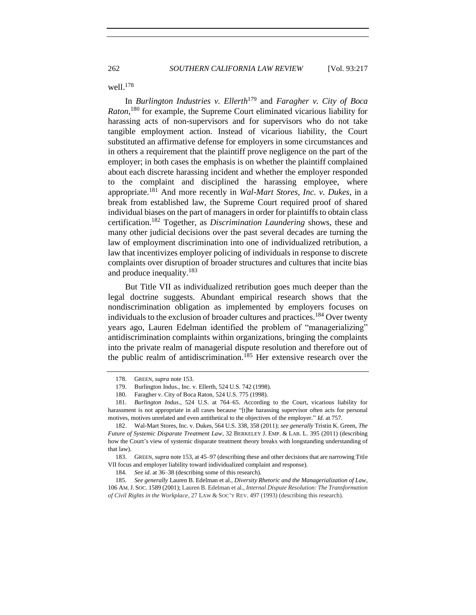well.<sup>178</sup>

In *Burlington Industries v. Ellerth*<sup>179</sup> and *Faragher v. City of Boca Raton*, <sup>180</sup> for example, the Supreme Court eliminated vicarious liability for harassing acts of non-supervisors and for supervisors who do not take tangible employment action. Instead of vicarious liability, the Court substituted an affirmative defense for employers in some circumstances and in others a requirement that the plaintiff prove negligence on the part of the employer; in both cases the emphasis is on whether the plaintiff complained about each discrete harassing incident and whether the employer responded to the complaint and disciplined the harassing employee, where appropriate.<sup>181</sup> And more recently in *Wal-Mart Stores, Inc. v. Dukes*, in a break from established law, the Supreme Court required proof of shared individual biases on the part of managers in order for plaintiffs to obtain class certification.<sup>182</sup> Together, as *Discrimination Laundering* shows, these and many other judicial decisions over the past several decades are turning the law of employment discrimination into one of individualized retribution, a law that incentivizes employer policing of individuals in response to discrete complaints over disruption of broader structures and cultures that incite bias and produce inequality.<sup>183</sup>

But Title VII as individualized retribution goes much deeper than the legal doctrine suggests. Abundant empirical research shows that the nondiscrimination obligation as implemented by employers focuses on individuals to the exclusion of broader cultures and practices.<sup>184</sup> Over twenty years ago, Lauren Edelman identified the problem of "managerializing" antidiscrimination complaints within organizations, bringing the complaints into the private realm of managerial dispute resolution and therefore out of the public realm of antidiscrimination.<sup>185</sup> Her extensive research over the

<sup>178.</sup> GREEN, *supra* not[e 153.](#page-41-0)

<sup>179.</sup> Burlington Indus., Inc. v. Ellerth, 524 U.S. 742 (1998).

<sup>180.</sup> Faragher v. City of Boca Raton, 524 U.S. 775 (1998).

<sup>181.</sup> *Burlington Indus*., 524 U.S. at 764–65. According to the Court, vicarious liability for harassment is not appropriate in all cases because "[t]he harassing supervisor often acts for personal motives, motives unrelated and even antithetical to the objectives of the employer." *Id.* at 757.

<sup>182.</sup> Wal-Mart Stores, Inc. v. Dukes, 564 U.S. 338, 358 (2011); *see generally* Tristin K. Green, *The Future of Systemic Disparate Treatment Law*, 32 BERKELEY J. EMP. & LAB. L. 395 (2011) (describing how the Court's view of systemic disparate treatment theory breaks with longstanding understanding of that law).

<sup>183.</sup> GREEN, *supra* not[e 153,](#page-41-0) at 45–97 (describing these and other decisions that are narrowing Title VII focus and employer liability toward individualized complaint and response).

<sup>184.</sup> *See id*. at 36–38 (describing some of this research).

<sup>185.</sup> *See generally* Lauren B. Edelman et al., *Diversity Rhetoric and the Managerialization of Law*, 106 AM.J. SOC. 1589 (2001); Lauren B. Edelman et al., *Internal Dispute Resolution: The Transformation of Civil Rights in the Workplace*, 27 LAW & SOC'Y REV. 497 (1993) (describing this research).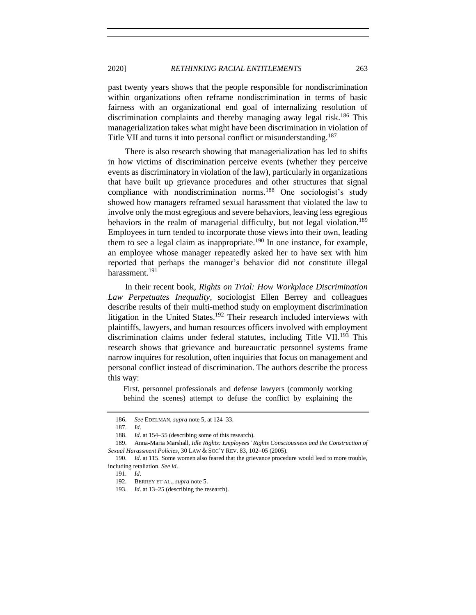past twenty years shows that the people responsible for nondiscrimination within organizations often reframe nondiscrimination in terms of basic fairness with an organizational end goal of internalizing resolution of discrimination complaints and thereby managing away legal risk.<sup>186</sup> This managerialization takes what might have been discrimination in violation of Title VII and turns it into personal conflict or misunderstanding.<sup>187</sup>

There is also research showing that managerialization has led to shifts in how victims of discrimination perceive events (whether they perceive events as discriminatory in violation of the law), particularly in organizations that have built up grievance procedures and other structures that signal compliance with nondiscrimination norms.<sup>188</sup> One sociologist's study showed how managers reframed sexual harassment that violated the law to involve only the most egregious and severe behaviors, leaving less egregious behaviors in the realm of managerial difficulty, but not legal violation.<sup>189</sup> Employees in turn tended to incorporate those views into their own, leading them to see a legal claim as inappropriate.<sup>190</sup> In one instance, for example, an employee whose manager repeatedly asked her to have sex with him reported that perhaps the manager's behavior did not constitute illegal harassment.<sup>191</sup>

In their recent book, *Rights on Trial: How Workplace Discrimination Law Perpetuates Inequality*, sociologist Ellen Berrey and colleagues describe results of their multi-method study on employment discrimination litigation in the United States.<sup>192</sup> Their research included interviews with plaintiffs, lawyers, and human resources officers involved with employment discrimination claims under federal statutes, including Title VII.<sup>193</sup> This research shows that grievance and bureaucratic personnel systems frame narrow inquires for resolution, often inquiries that focus on management and personal conflict instead of discrimination. The authors describe the process this way:

First, personnel professionals and defense lawyers (commonly working behind the scenes) attempt to defuse the conflict by explaining the

<sup>186.</sup> *See* EDELMAN, *supra* not[e 5,](#page-4-2) at 124–33.

<sup>187.</sup> *Id*.

<sup>188.</sup> *Id*. at 154–55 (describing some of this research).

<sup>189.</sup> Anna-Maria Marshall, *Idle Rights: Employees' Rights Consciousness and the Construction of Sexual Harassment Policies*, 30 LAW & SOC'Y REV. 83, 102−05 (2005).

<sup>190.</sup> *Id*. at 115. Some women also feared that the grievance procedure would lead to more trouble, including retaliation. *See id*.

<sup>191.</sup> *Id*.

<sup>192.</sup> BERREY ET AL., *supra* not[e 5.](#page-4-2) 

<sup>193.</sup> *Id*. at 13–25 (describing the research).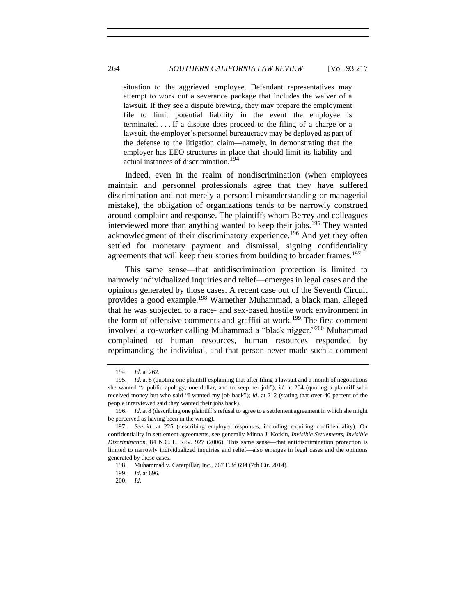situation to the aggrieved employee. Defendant representatives may attempt to work out a severance package that includes the waiver of a lawsuit. If they see a dispute brewing, they may prepare the employment file to limit potential liability in the event the employee is terminated. . . . If a dispute does proceed to the filing of a charge or a lawsuit, the employer's personnel bureaucracy may be deployed as part of the defense to the litigation claim—namely, in demonstrating that the employer has EEO structures in place that should limit its liability and actual instances of discrimination.<sup>194</sup>

Indeed, even in the realm of nondiscrimination (when employees maintain and personnel professionals agree that they have suffered discrimination and not merely a personal misunderstanding or managerial mistake), the obligation of organizations tends to be narrowly construed around complaint and response. The plaintiffs whom Berrey and colleagues interviewed more than anything wanted to keep their jobs.<sup>195</sup> They wanted acknowledgment of their discriminatory experience.<sup>196</sup> And yet they often settled for monetary payment and dismissal, signing confidentiality agreements that will keep their stories from building to broader frames.<sup>197</sup>

This same sense—that antidiscrimination protection is limited to narrowly individualized inquiries and relief—emerges in legal cases and the opinions generated by those cases. A recent case out of the Seventh Circuit provides a good example.<sup>198</sup> Warnether Muhammad, a black man, alleged that he was subjected to a race- and sex-based hostile work environment in the form of offensive comments and graffiti at work.<sup>199</sup> The first comment involved a co-worker calling Muhammad a "black nigger."<sup>200</sup> Muhammad complained to human resources, human resources responded by reprimanding the individual, and that person never made such a comment

<sup>194.</sup> *Id*. at 262.

<sup>195.</sup> *Id*. at 8 (quoting one plaintiff explaining that after filing a lawsuit and a month of negotiations she wanted "a public apology, one dollar, and to keep her job"); *id*. at 204 (quoting a plaintiff who received money but who said "I wanted my job back"); *id*. at 212 (stating that over 40 percent of the people interviewed said they wanted their jobs back).

<sup>196.</sup> *Id*. at 8 (describing one plaintiff's refusal to agree to a settlement agreement in which she might be perceived as having been in the wrong).

<sup>197.</sup> *See id*. at 225 (describing employer responses, including requiring confidentiality). On confidentiality in settlement agreements, see generally Minna J. Kotkin, *Invisible Settlements, Invisible Discrimination*, 84 N.C. L. REV. 927 (2006). This same sense—that antidiscrimination protection is limited to narrowly individualized inquiries and relief—also emerges in legal cases and the opinions generated by those cases.

<sup>198.</sup> Muhammad v. Caterpillar, Inc., 767 F.3d 694 (7th Cir. 2014).

<sup>199.</sup> *Id*. at 696.

<sup>200.</sup> *Id*.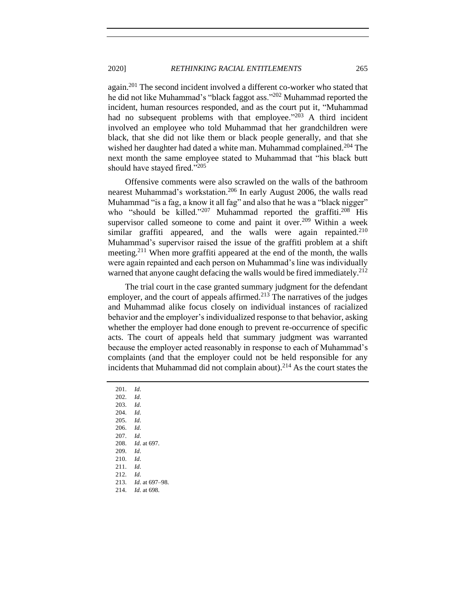again.<sup>201</sup> The second incident involved a different co-worker who stated that he did not like Muhammad's "black faggot ass."<sup>202</sup> Muhammad reported the incident, human resources responded, and as the court put it, "Muhammad had no subsequent problems with that employee."<sup>203</sup> A third incident involved an employee who told Muhammad that her grandchildren were black, that she did not like them or black people generally, and that she wished her daughter had dated a white man. Muhammad complained.<sup>204</sup> The next month the same employee stated to Muhammad that "his black butt should have stayed fired."<sup>205</sup>

Offensive comments were also scrawled on the walls of the bathroom nearest Muhammad's workstation.<sup>206</sup> In early August 2006, the walls read Muhammad "is a fag, a know it all fag" and also that he was a "black nigger" who "should be killed."<sup>207</sup> Muhammad reported the graffiti.<sup>208</sup> His supervisor called someone to come and paint it over.<sup>209</sup> Within a week similar graffiti appeared, and the walls were again repainted.<sup>210</sup> Muhammad's supervisor raised the issue of the graffiti problem at a shift meeting.<sup>211</sup> When more graffiti appeared at the end of the month, the walls were again repainted and each person on Muhammad's line was individually warned that anyone caught defacing the walls would be fired immediately.<sup>212</sup>

The trial court in the case granted summary judgment for the defendant employer, and the court of appeals affirmed.<sup>213</sup> The narratives of the judges and Muhammad alike focus closely on individual instances of racialized behavior and the employer's individualized response to that behavior, asking whether the employer had done enough to prevent re-occurrence of specific acts. The court of appeals held that summary judgment was warranted because the employer acted reasonably in response to each of Muhammad's complaints (and that the employer could not be held responsible for any incidents that Muhammad did not complain about).<sup>214</sup> As the court states the

201. *Id*.

202. *Id*.

203. *Id*.

204. *Id*. 205. *Id*.

206. *Id*.

207. *Id*.

208. *Id*. at 697.

209. *Id*.

210. *Id*.

211. *Id*.

212. *Id*. 213. *Id*. at 697–98.

214. *Id*. at 698.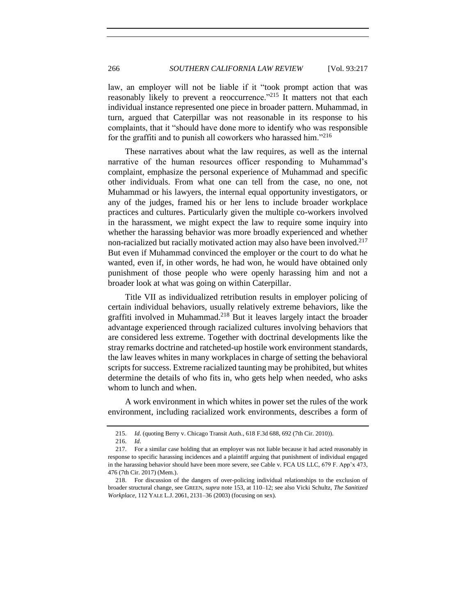law, an employer will not be liable if it "took prompt action that was reasonably likely to prevent a reoccurrence.<sup>"215</sup> It matters not that each individual instance represented one piece in broader pattern. Muhammad, in turn, argued that Caterpillar was not reasonable in its response to his complaints, that it "should have done more to identify who was responsible for the graffiti and to punish all coworkers who harassed him."<sup>216</sup>

These narratives about what the law requires, as well as the internal narrative of the human resources officer responding to Muhammad's complaint, emphasize the personal experience of Muhammad and specific other individuals. From what one can tell from the case, no one, not Muhammad or his lawyers, the internal equal opportunity investigators, or any of the judges, framed his or her lens to include broader workplace practices and cultures. Particularly given the multiple co-workers involved in the harassment, we might expect the law to require some inquiry into whether the harassing behavior was more broadly experienced and whether non-racialized but racially motivated action may also have been involved.<sup>217</sup> But even if Muhammad convinced the employer or the court to do what he wanted, even if, in other words, he had won, he would have obtained only punishment of those people who were openly harassing him and not a broader look at what was going on within Caterpillar.

Title VII as individualized retribution results in employer policing of certain individual behaviors, usually relatively extreme behaviors, like the graffiti involved in Muhammad.<sup>218</sup> But it leaves largely intact the broader advantage experienced through racialized cultures involving behaviors that are considered less extreme. Together with doctrinal developments like the stray remarks doctrine and ratcheted-up hostile work environment standards, the law leaves whites in many workplaces in charge of setting the behavioral scripts for success. Extreme racialized taunting may be prohibited, but whites determine the details of who fits in, who gets help when needed, who asks whom to lunch and when.

A work environment in which whites in power set the rules of the work environment, including racialized work environments, describes a form of

<sup>215.</sup> *Id*. (quoting Berry v. Chicago Transit Auth., 618 F.3d 688, 692 (7th Cir. 2010)).

<sup>216.</sup> *Id*.

<sup>217.</sup> For a similar case holding that an employer was not liable because it had acted reasonably in response to specific harassing incidences and a plaintiff arguing that punishment of individual engaged in the harassing behavior should have been more severe, see Cable v. FCA US LLC, 679 F. App'x 473, 476 (7th Cir. 2017) (Mem.).

<sup>218.</sup> For discussion of the dangers of over-policing individual relationships to the exclusion of broader structural change, see GREEN, *supra* note [153,](#page-41-0) at 110–12; see also Vicki Schultz, *The Sanitized Workplace*, 112 YALE L.J. 2061, 2131–36 (2003) (focusing on sex).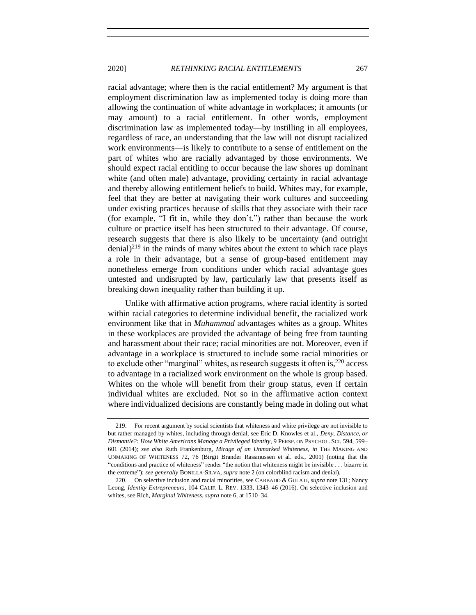racial advantage; where then is the racial entitlement? My argument is that employment discrimination law as implemented today is doing more than allowing the continuation of white advantage in workplaces; it amounts (or may amount) to a racial entitlement. In other words, employment discrimination law as implemented today—by instilling in all employees, regardless of race, an understanding that the law will not disrupt racialized work environments—is likely to contribute to a sense of entitlement on the part of whites who are racially advantaged by those environments. We should expect racial entitling to occur because the law shores up dominant white (and often male) advantage, providing certainty in racial advantage and thereby allowing entitlement beliefs to build. Whites may, for example, feel that they are better at navigating their work cultures and succeeding under existing practices because of skills that they associate with their race (for example, "I fit in, while they don't.") rather than because the work culture or practice itself has been structured to their advantage. Of course, research suggests that there is also likely to be uncertainty (and outright  $\frac{\text{denial}}{2^{19}}$  in the minds of many whites about the extent to which race plays a role in their advantage, but a sense of group-based entitlement may nonetheless emerge from conditions under which racial advantage goes untested and undisrupted by law, particularly law that presents itself as breaking down inequality rather than building it up.

Unlike with affirmative action programs, where racial identity is sorted within racial categories to determine individual benefit, the racialized work environment like that in *Muhammad* advantages whites as a group. Whites in these workplaces are provided the advantage of being free from taunting and harassment about their race; racial minorities are not. Moreover, even if advantage in a workplace is structured to include some racial minorities or to exclude other "marginal" whites, as research suggests it often is,  $220$  access to advantage in a racialized work environment on the whole is group based. Whites on the whole will benefit from their group status, even if certain individual whites are excluded. Not so in the affirmative action context where individualized decisions are constantly being made in doling out what

<sup>219.</sup> For recent argument by social scientists that whiteness and white privilege are not invisible to but rather managed by whites, including through denial, see Eric D. Knowles et al., *Deny*, *Distance, or Dismantle?: How White Americans Manage a Privileged Identity*, 9 PERSP. ON PSYCHOL. SCI. 594, 599– 601 (2014); *see also* Ruth Frankenburg, *Mirage of an Unmarked Whiteness*, *in* THE MAKING AND UNMAKING OF WHITENESS 72, 76 (Birgit Brander Rassmussen et al. eds., 2001) (noting that the "conditions and practice of whiteness" render "the notion that whiteness might be invisible . . . bizarre in the extreme"); *see generally* BONILLA-SILVA, *supra* not[e 2](#page-4-0) (on colorblind racism and denial).

<sup>220.</sup> On selective inclusion and racial minorities, see CARBADO & GULATI, *supra* not[e 131;](#page-35-0) Nancy Leong, *Identity Entrepreneurs*, 104 CALIF. L. REV. 1333, 1343–46 (2016). On selective inclusion and whites, see Rich, *Marginal Whiteness*, *supra* note [6,](#page-5-0) at 1510–34.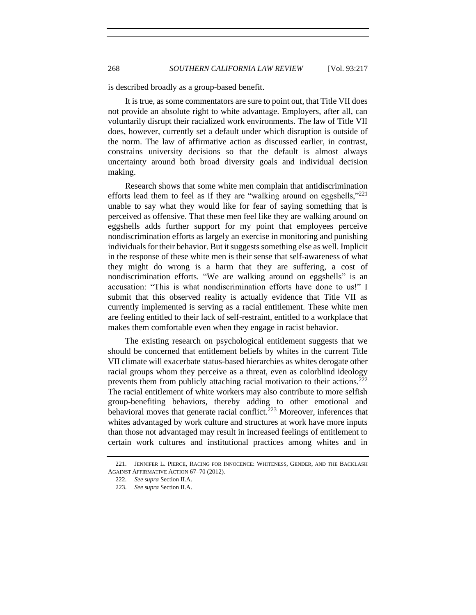is described broadly as a group-based benefit.

It is true, as some commentators are sure to point out, that Title VII does not provide an absolute right to white advantage. Employers, after all, can voluntarily disrupt their racialized work environments. The law of Title VII does, however, currently set a default under which disruption is outside of the norm. The law of affirmative action as discussed earlier, in contrast, constrains university decisions so that the default is almost always uncertainty around both broad diversity goals and individual decision making.

Research shows that some white men complain that antidiscrimination efforts lead them to feel as if they are "walking around on eggshells," $^{221}$ unable to say what they would like for fear of saying something that is perceived as offensive. That these men feel like they are walking around on eggshells adds further support for my point that employees perceive nondiscrimination efforts as largely an exercise in monitoring and punishing individuals for their behavior. But it suggests something else as well. Implicit in the response of these white men is their sense that self-awareness of what they might do wrong is a harm that they are suffering, a cost of nondiscrimination efforts. "We are walking around on eggshells" is an accusation: "This is what nondiscrimination efforts have done to us!" I submit that this observed reality is actually evidence that Title VII as currently implemented is serving as a racial entitlement. These white men are feeling entitled to their lack of self-restraint, entitled to a workplace that makes them comfortable even when they engage in racist behavior.

The existing research on psychological entitlement suggests that we should be concerned that entitlement beliefs by whites in the current Title VII climate will exacerbate status-based hierarchies as whites derogate other racial groups whom they perceive as a threat, even as colorblind ideology prevents them from publicly attaching racial motivation to their actions.<sup>222</sup> The racial entitlement of white workers may also contribute to more selfish group-benefiting behaviors, thereby adding to other emotional and behavioral moves that generate racial conflict.<sup>223</sup> Moreover, inferences that whites advantaged by work culture and structures at work have more inputs than those not advantaged may result in increased feelings of entitlement to certain work cultures and institutional practices among whites and in

<sup>221.</sup> JENNIFER L. PIERCE, RACING FOR INNOCENCE: WHITENESS, GENDER, AND THE BACKLASH AGAINST AFFIRMATIVE ACTION 67–70 (2012).

<sup>222.</sup> *See* s*upra* Section II.A.

<sup>223.</sup> *See* s*upra* Section II.A.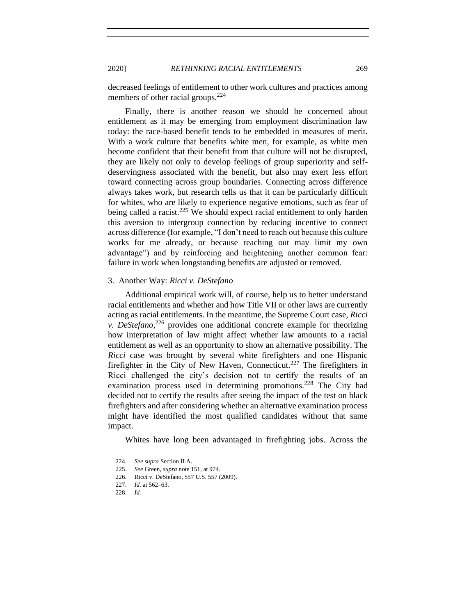decreased feelings of entitlement to other work cultures and practices among members of other racial groups.<sup>224</sup>

Finally, there is another reason we should be concerned about entitlement as it may be emerging from employment discrimination law today: the race-based benefit tends to be embedded in measures of merit. With a work culture that benefits white men, for example, as white men become confident that their benefit from that culture will not be disrupted, they are likely not only to develop feelings of group superiority and selfdeservingness associated with the benefit, but also may exert less effort toward connecting across group boundaries. Connecting across difference always takes work, but research tells us that it can be particularly difficult for whites, who are likely to experience negative emotions, such as fear of being called a racist.<sup>225</sup> We should expect racial entitlement to only harden this aversion to intergroup connection by reducing incentive to connect across difference (for example, "I don't need to reach out because this culture works for me already, or because reaching out may limit my own advantage") and by reinforcing and heightening another common fear: failure in work when longstanding benefits are adjusted or removed.

### <span id="page-52-0"></span>3. Another Way: *Ricci v. DeStefano*

Additional empirical work will, of course, help us to better understand racial entitlements and whether and how Title VII or other laws are currently acting as racial entitlements. In the meantime, the Supreme Court case, *Ricci v. DeStefano*<sup>226</sup> provides one additional concrete example for theorizing how interpretation of law might affect whether law amounts to a racial entitlement as well as an opportunity to show an alternative possibility. The *Ricci* case was brought by several white firefighters and one Hispanic firefighter in the City of New Haven, Connecticut.<sup>227</sup> The firefighters in Ricci challenged the city's decision not to certify the results of an examination process used in determining promotions.<sup>228</sup> The City had decided not to certify the results after seeing the impact of the test on black firefighters and after considering whether an alternative examination process might have identified the most qualified candidates without that same impact.

Whites have long been advantaged in firefighting jobs. Across the

<sup>224.</sup> *See* s*upra* Section II.A.

<sup>225.</sup> *See* Green, *supra* not[e 151,](#page-40-1) at 974.

<sup>226.</sup> Ricci v. DeStefano, 557 U.S. 557 (2009).

<sup>227.</sup> *Id.* at 562–63.

<sup>228.</sup> *Id.*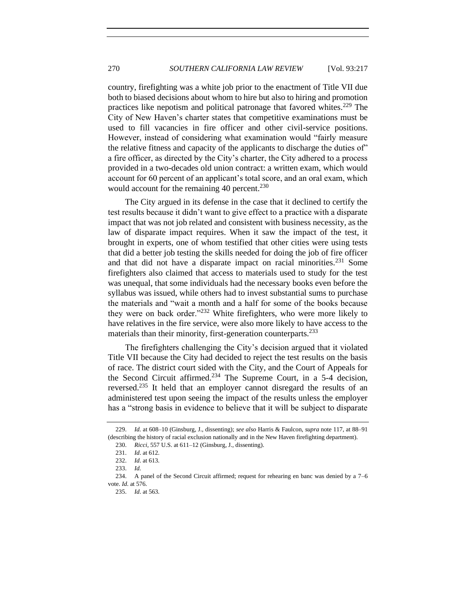country, firefighting was a white job prior to the enactment of Title VII due both to biased decisions about whom to hire but also to hiring and promotion practices like nepotism and political patronage that favored whites.<sup>229</sup> The City of New Haven's charter states that competitive examinations must be used to fill vacancies in fire officer and other civil-service positions. However, instead of considering what examination would "fairly measure the relative fitness and capacity of the applicants to discharge the duties of" a fire officer, as directed by the City's charter, the City adhered to a process provided in a two-decades old union contract: a written exam, which would account for 60 percent of an applicant's total score, and an oral exam, which would account for the remaining 40 percent.<sup>230</sup>

The City argued in its defense in the case that it declined to certify the test results because it didn't want to give effect to a practice with a disparate impact that was not job related and consistent with business necessity, as the law of disparate impact requires. When it saw the impact of the test, it brought in experts, one of whom testified that other cities were using tests that did a better job testing the skills needed for doing the job of fire officer and that did not have a disparate impact on racial minorities.<sup>231</sup> Some firefighters also claimed that access to materials used to study for the test was unequal, that some individuals had the necessary books even before the syllabus was issued, while others had to invest substantial sums to purchase the materials and "wait a month and a half for some of the books because they were on back order."<sup>232</sup> White firefighters, who were more likely to have relatives in the fire service, were also more likely to have access to the materials than their minority, first-generation counterparts.<sup>233</sup>

The firefighters challenging the City's decision argued that it violated Title VII because the City had decided to reject the test results on the basis of race. The district court sided with the City, and the Court of Appeals for the Second Circuit affirmed.<sup>234</sup> The Supreme Court, in a 5-4 decision, reversed.<sup>235</sup> It held that an employer cannot disregard the results of an administered test upon seeing the impact of the results unless the employer has a "strong basis in evidence to believe that it will be subject to disparate

<sup>229.</sup> *Id.* at 608–10 (Ginsburg, J., dissenting); *see also* Harris & Faulcon, *supra* note [117,](#page-29-0) at 88–91 (describing the history of racial exclusion nationally and in the New Haven firefighting department).

<sup>230.</sup> *Ricci*, 557 U.S. at 611–12 (Ginsburg, J., dissenting).

<sup>231.</sup> *Id*. at 612.

<sup>232.</sup> *Id*. at 613.

<sup>233.</sup> *Id.*

<sup>234.</sup> A panel of the Second Circuit affirmed; request for rehearing en banc was denied by a 7–6 vote. *Id*. at 576.

<sup>235.</sup> *Id*. at 563.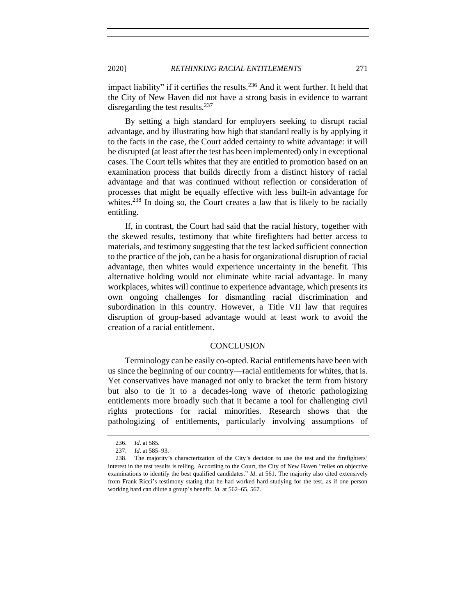the City of New Haven did not have a strong basis in evidence to warrant disregarding the test results. $237$ 

By setting a high standard for employers seeking to disrupt racial advantage, and by illustrating how high that standard really is by applying it to the facts in the case, the Court added certainty to white advantage: it will be disrupted (at least after the test has been implemented) only in exceptional cases. The Court tells whites that they are entitled to promotion based on an examination process that builds directly from a distinct history of racial advantage and that was continued without reflection or consideration of processes that might be equally effective with less built-in advantage for whites.<sup>238</sup> In doing so, the Court creates a law that is likely to be racially entitling.

If, in contrast, the Court had said that the racial history, together with the skewed results, testimony that white firefighters had better access to materials, and testimony suggesting that the test lacked sufficient connection to the practice of the job, can be a basis for organizational disruption of racial advantage, then whites would experience uncertainty in the benefit. This alternative holding would not eliminate white racial advantage. In many workplaces, whites will continue to experience advantage, which presents its own ongoing challenges for dismantling racial discrimination and subordination in this country. However, a Title VII law that requires disruption of group-based advantage would at least work to avoid the creation of a racial entitlement.

## **CONCLUSION**

<span id="page-54-0"></span>Terminology can be easily co-opted. Racial entitlements have been with us since the beginning of our country—racial entitlements for whites, that is. Yet conservatives have managed not only to bracket the term from history but also to tie it to a decades-long wave of rhetoric pathologizing entitlements more broadly such that it became a tool for challenging civil rights protections for racial minorities. Research shows that the pathologizing of entitlements, particularly involving assumptions of

<sup>236.</sup> *Id*. at 585.

<sup>237.</sup> *Id*. at 585–93.

<sup>238.</sup> The majority's characterization of the City's decision to use the test and the firefighters' interest in the test results is telling. According to the Court, the City of New Haven "relies on objective examinations to identify the best qualified candidates." *Id*. at 561. The majority also cited extensively from Frank Ricci's testimony stating that he had worked hard studying for the test, as if one person working hard can dilute a group's benefit. *Id.* at 562–65, 567.